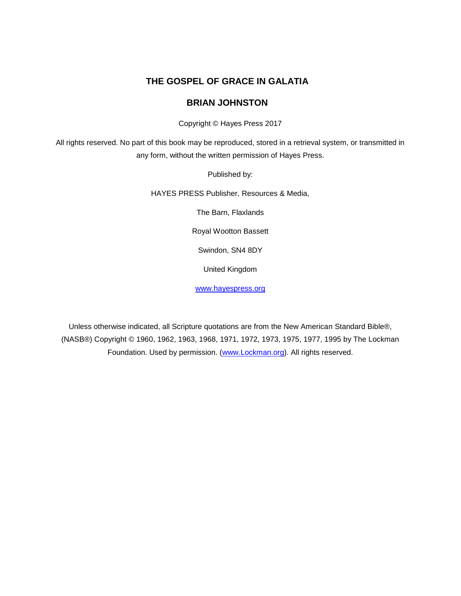#### **THE GOSPEL OF GRACE IN GALATIA**

#### **BRIAN JOHNSTON**

Copyright © Hayes Press 2017

All rights reserved. No part of this book may be reproduced, stored in a retrieval system, or transmitted in any form, without the written permission of Hayes Press.

Published by:

HAYES PRESS Publisher, Resources & Media,

The Barn, Flaxlands

Royal Wootton Bassett

Swindon, SN4 8DY

United Kingdom

[www.hayespress.org](http://www.hayespress.org/)

Unless otherwise indicated, all Scripture quotations are from the New American Standard Bible®, (NASB®) Copyright © 1960, 1962, 1963, 1968, 1971, 1972, 1973, 1975, 1977, 1995 by The Lockman Foundation. Used by permission. [\(www.Lockman.org\)](http://www.lockman.org/). All rights reserved.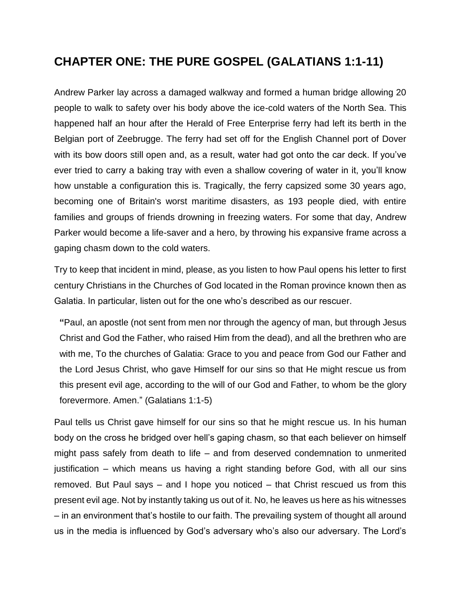#### **CHAPTER ONE: THE PURE GOSPEL (GALATIANS 1:1-11)**

Andrew Parker lay across a damaged walkway and formed a human bridge allowing 20 people to walk to safety over his body above the ice-cold waters of the North Sea. This happened half an hour after the Herald of Free Enterprise ferry had left its berth in the Belgian port of Zeebrugge. The ferry had set off for the English Channel port of Dover with its bow doors still open and, as a result, water had got onto the car deck. If you've ever tried to carry a baking tray with even a shallow covering of water in it, you'll know how unstable a configuration this is. Tragically, the ferry capsized some 30 years ago, becoming one of Britain's worst maritime disasters, as 193 people died, with entire families and groups of friends drowning in freezing waters. For some that day, Andrew Parker would become a life-saver and a hero, by throwing his expansive frame across a gaping chasm down to the cold waters.

Try to keep that incident in mind, please, as you listen to how Paul opens his letter to first century Christians in the Churches of God located in the Roman province known then as Galatia. In particular, listen out for the one who's described as our rescuer.

**"**Paul, an apostle (not sent from men nor through the agency of man, but through Jesus Christ and God the Father, who raised Him from the dead), and all the brethren who are with me, To the churches of Galatia: Grace to you and peace from God our Father and the Lord Jesus Christ, who gave Himself for our sins so that He might rescue us from this present evil age, according to the will of our God and Father, to whom be the glory forevermore. Amen." (Galatians 1:1-5)

Paul tells us Christ gave himself for our sins so that he might rescue us. In his human body on the cross he bridged over hell's gaping chasm, so that each believer on himself might pass safely from death to life – and from deserved condemnation to unmerited justification – which means us having a right standing before God, with all our sins removed. But Paul says – and I hope you noticed – that Christ rescued us from this present evil age. Not by instantly taking us out of it. No, he leaves us here as his witnesses – in an environment that's hostile to our faith. The prevailing system of thought all around us in the media is influenced by God's adversary who's also our adversary. The Lord's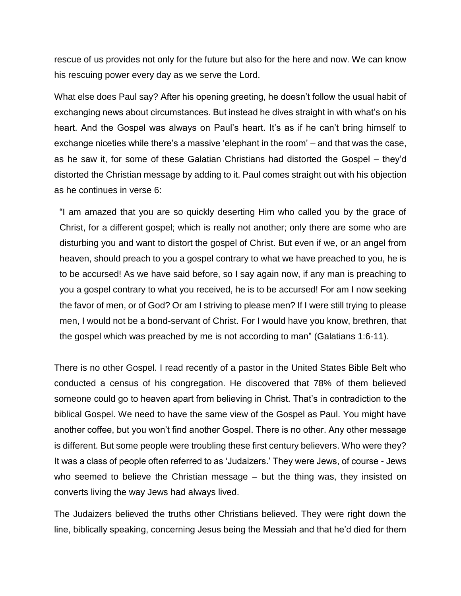rescue of us provides not only for the future but also for the here and now. We can know his rescuing power every day as we serve the Lord.

What else does Paul say? After his opening greeting, he doesn't follow the usual habit of exchanging news about circumstances. But instead he dives straight in with what's on his heart. And the Gospel was always on Paul's heart. It's as if he can't bring himself to exchange niceties while there's a massive 'elephant in the room' – and that was the case, as he saw it, for some of these Galatian Christians had distorted the Gospel – they'd distorted the Christian message by adding to it. Paul comes straight out with his objection as he continues in verse 6:

"I am amazed that you are so quickly deserting Him who called you by the grace of Christ, for a different gospel; which is really not another; only there are some who are disturbing you and want to distort the gospel of Christ. But even if we, or an angel from heaven, should preach to you a gospel contrary to what we have preached to you, he is to be accursed! As we have said before, so I say again now, if any man is preaching to you a gospel contrary to what you received, he is to be accursed! For am I now seeking the favor of men, or of God? Or am I striving to please men? If I were still trying to please men, I would not be a bond-servant of Christ. For I would have you know, brethren, that the gospel which was preached by me is not according to man" (Galatians 1:6-11).

There is no other Gospel. I read recently of a pastor in the United States Bible Belt who conducted a census of his congregation. He discovered that 78% of them believed someone could go to heaven apart from believing in Christ. That's in contradiction to the biblical Gospel. We need to have the same view of the Gospel as Paul. You might have another coffee, but you won't find another Gospel. There is no other. Any other message is different. But some people were troubling these first century believers. Who were they? It was a class of people often referred to as 'Judaizers.' They were Jews, of course - Jews who seemed to believe the Christian message – but the thing was, they insisted on converts living the way Jews had always lived.

The Judaizers believed the truths other Christians believed. They were right down the line, biblically speaking, concerning Jesus being the Messiah and that he'd died for them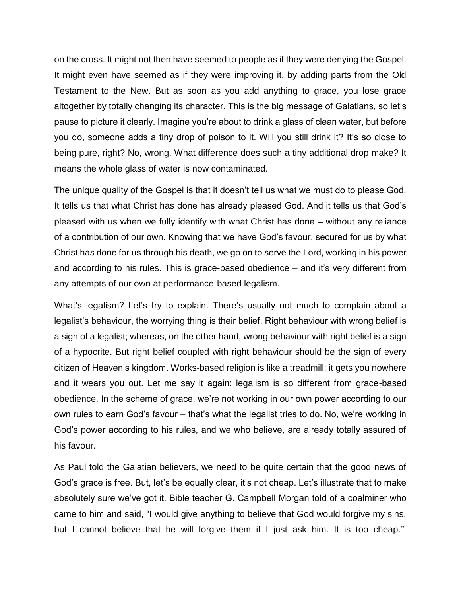on the cross. It might not then have seemed to people as if they were denying the Gospel. It might even have seemed as if they were improving it, by adding parts from the Old Testament to the New. But as soon as you add anything to grace, you lose grace altogether by totally changing its character. This is the big message of Galatians, so let's pause to picture it clearly. Imagine you're about to drink a glass of clean water, but before you do, someone adds a tiny drop of poison to it. Will you still drink it? It's so close to being pure, right? No, wrong. What difference does such a tiny additional drop make? It means the whole glass of water is now contaminated.

The unique quality of the Gospel is that it doesn't tell us what we must do to please God. It tells us that what Christ has done has already pleased God. And it tells us that God's pleased with us when we fully identify with what Christ has done – without any reliance of a contribution of our own. Knowing that we have God's favour, secured for us by what Christ has done for us through his death, we go on to serve the Lord, working in his power and according to his rules. This is grace-based obedience – and it's very different from any attempts of our own at performance-based legalism.

What's legalism? Let's try to explain. There's usually not much to complain about a legalist's behaviour, the worrying thing is their belief. Right behaviour with wrong belief is a sign of a legalist; whereas, on the other hand, wrong behaviour with right belief is a sign of a hypocrite. But right belief coupled with right behaviour should be the sign of every citizen of Heaven's kingdom. Works-based religion is like a treadmill: it gets you nowhere and it wears you out. Let me say it again: legalism is so different from grace-based obedience. In the scheme of grace, we're not working in our own power according to our own rules to earn God's favour – that's what the legalist tries to do. No, we're working in God's power according to his rules, and we who believe, are already totally assured of his favour.

As Paul told the Galatian believers, we need to be quite certain that the good news of God's grace is free. But, let's be equally clear, it's not cheap. Let's illustrate that to make absolutely sure we've got it. Bible teacher G. Campbell Morgan told of a coalminer who came to him and said, "I would give anything to believe that God would forgive my sins, but I cannot believe that he will forgive them if I just ask him. It is too cheap."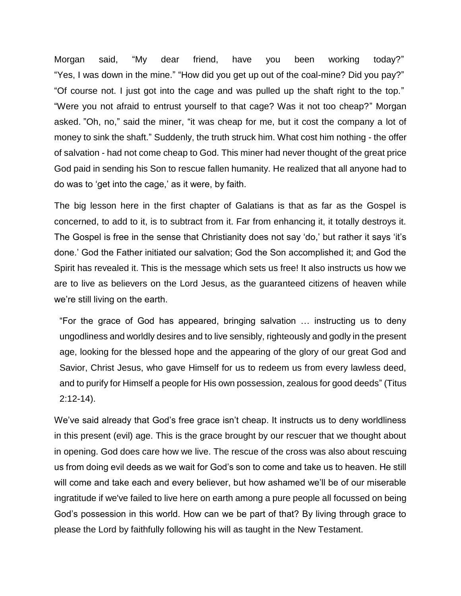Morgan said, "My dear friend, have you been working today?" "Yes, I was down in the mine." "How did you get up out of the coal-mine? Did you pay?" "Of course not. I just got into the cage and was pulled up the shaft right to the top." "Were you not afraid to entrust yourself to that cage? Was it not too cheap?" Morgan asked. "Oh, no," said the miner, "it was cheap for me, but it cost the company a lot of money to sink the shaft." Suddenly, the truth struck him. What cost him nothing - the offer of salvation - had not come cheap to God. This miner had never thought of the great price God paid in sending his Son to rescue fallen humanity. He realized that all anyone had to do was to 'get into the cage,' as it were, by faith.

The big lesson here in the first chapter of Galatians is that as far as the Gospel is concerned, to add to it, is to subtract from it. Far from enhancing it, it totally destroys it. The Gospel is free in the sense that Christianity does not say 'do,' but rather it says 'it's done.' God the Father initiated our salvation; God the Son accomplished it; and God the Spirit has revealed it. This is the message which sets us free! It also instructs us how we are to live as believers on the Lord Jesus, as the guaranteed citizens of heaven while we're still living on the earth.

"For the grace of God has appeared, bringing salvation … instructing us to deny ungodliness and worldly desires and to live sensibly, righteously and godly in the present age, looking for the blessed hope and the appearing of the glory of our great God and Savior, Christ Jesus, who gave Himself for us to redeem us from every lawless deed, and to purify for Himself a people for His own possession, zealous for good deeds" (Titus 2:12-14).

We've said already that God's free grace isn't cheap. It instructs us to deny worldliness in this present (evil) age. This is the grace brought by our rescuer that we thought about in opening. God does care how we live. The rescue of the cross was also about rescuing us from doing evil deeds as we wait for God's son to come and take us to heaven. He still will come and take each and every believer, but how ashamed we'll be of our miserable ingratitude if we've failed to live here on earth among a pure people all focussed on being God's possession in this world. How can we be part of that? By living through grace to please the Lord by faithfully following his will as taught in the New Testament.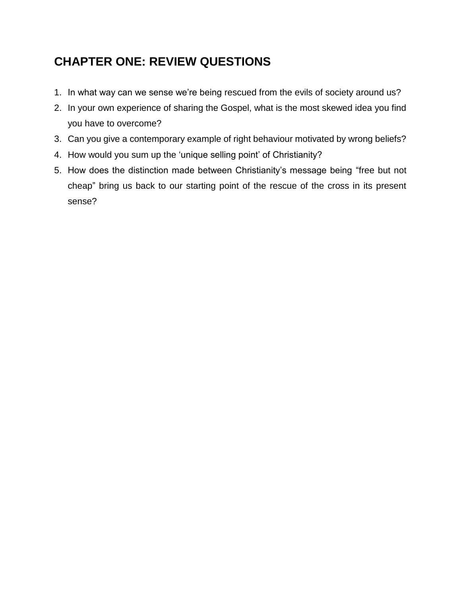# **CHAPTER ONE: REVIEW QUESTIONS**

- 1. In what way can we sense we're being rescued from the evils of society around us?
- 2. In your own experience of sharing the Gospel, what is the most skewed idea you find you have to overcome?
- 3. Can you give a contemporary example of right behaviour motivated by wrong beliefs?
- 4. How would you sum up the 'unique selling point' of Christianity?
- 5. How does the distinction made between Christianity's message being "free but not cheap" bring us back to our starting point of the rescue of the cross in its present sense?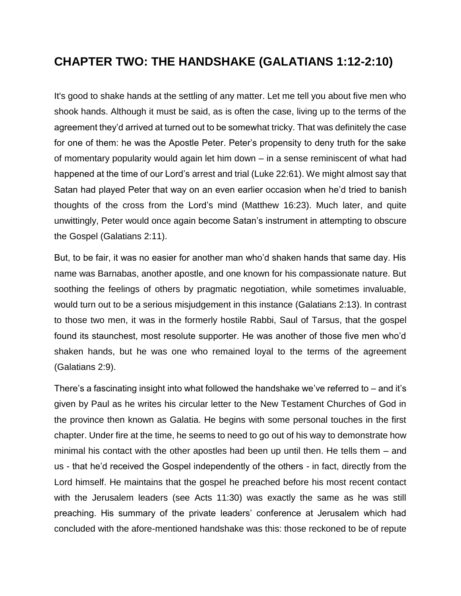#### **CHAPTER TWO: THE HANDSHAKE (GALATIANS 1:12-2:10)**

It's good to shake hands at the settling of any matter. Let me tell you about five men who shook hands. Although it must be said, as is often the case, living up to the terms of the agreement they'd arrived at turned out to be somewhat tricky. That was definitely the case for one of them: he was the Apostle Peter. Peter's propensity to deny truth for the sake of momentary popularity would again let him down – in a sense reminiscent of what had happened at the time of our Lord's arrest and trial (Luke 22:61). We might almost say that Satan had played Peter that way on an even earlier occasion when he'd tried to banish thoughts of the cross from the Lord's mind (Matthew 16:23). Much later, and quite unwittingly, Peter would once again become Satan's instrument in attempting to obscure the Gospel (Galatians 2:11).

But, to be fair, it was no easier for another man who'd shaken hands that same day. His name was Barnabas, another apostle, and one known for his compassionate nature. But soothing the feelings of others by pragmatic negotiation, while sometimes invaluable, would turn out to be a serious misjudgement in this instance (Galatians 2:13). In contrast to those two men, it was in the formerly hostile Rabbi, Saul of Tarsus, that the gospel found its staunchest, most resolute supporter. He was another of those five men who'd shaken hands, but he was one who remained loyal to the terms of the agreement (Galatians 2:9).

There's a fascinating insight into what followed the handshake we've referred to – and it's given by Paul as he writes his circular letter to the New Testament Churches of God in the province then known as Galatia. He begins with some personal touches in the first chapter. Under fire at the time, he seems to need to go out of his way to demonstrate how minimal his contact with the other apostles had been up until then. He tells them – and us - that he'd received the Gospel independently of the others - in fact, directly from the Lord himself. He maintains that the gospel he preached before his most recent contact with the Jerusalem leaders (see Acts 11:30) was exactly the same as he was still preaching. His summary of the private leaders' conference at Jerusalem which had concluded with the afore-mentioned handshake was this: those reckoned to be of repute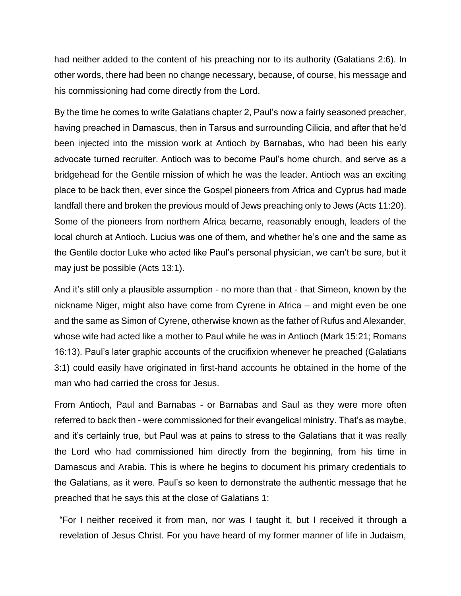had neither added to the content of his preaching nor to its authority (Galatians 2:6). In other words, there had been no change necessary, because, of course, his message and his commissioning had come directly from the Lord.

By the time he comes to write Galatians chapter 2, Paul's now a fairly seasoned preacher, having preached in Damascus, then in Tarsus and surrounding Cilicia, and after that he'd been injected into the mission work at Antioch by Barnabas, who had been his early advocate turned recruiter. Antioch was to become Paul's home church, and serve as a bridgehead for the Gentile mission of which he was the leader. Antioch was an exciting place to be back then, ever since the Gospel pioneers from Africa and Cyprus had made landfall there and broken the previous mould of Jews preaching only to Jews (Acts 11:20). Some of the pioneers from northern Africa became, reasonably enough, leaders of the local church at Antioch. Lucius was one of them, and whether he's one and the same as the Gentile doctor Luke who acted like Paul's personal physician, we can't be sure, but it may just be possible (Acts 13:1).

And it's still only a plausible assumption - no more than that - that Simeon, known by the nickname Niger, might also have come from Cyrene in Africa – and might even be one and the same as Simon of Cyrene, otherwise known as the father of Rufus and Alexander, whose wife had acted like a mother to Paul while he was in Antioch (Mark 15:21; Romans 16:13). Paul's later graphic accounts of the crucifixion whenever he preached (Galatians 3:1) could easily have originated in first-hand accounts he obtained in the home of the man who had carried the cross for Jesus.

From Antioch, Paul and Barnabas - or Barnabas and Saul as they were more often referred to back then - were commissioned for their evangelical ministry. That's as maybe, and it's certainly true, but Paul was at pains to stress to the Galatians that it was really the Lord who had commissioned him directly from the beginning, from his time in Damascus and Arabia. This is where he begins to document his primary credentials to the Galatians, as it were. Paul's so keen to demonstrate the authentic message that he preached that he says this at the close of Galatians 1:

"For I neither received it from man, nor was I taught it, but I received it through a revelation of Jesus Christ. For you have heard of my former manner of life in Judaism,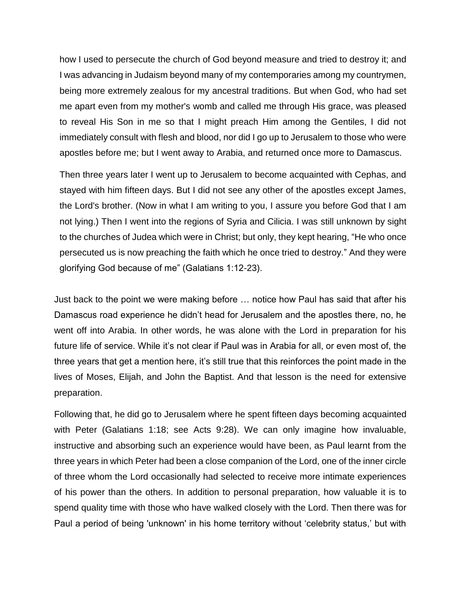how I used to persecute the church of God beyond measure and tried to destroy it; and I was advancing in Judaism beyond many of my contemporaries among my countrymen, being more extremely zealous for my ancestral traditions. But when God, who had set me apart even from my mother's womb and called me through His grace, was pleased to reveal His Son in me so that I might preach Him among the Gentiles, I did not immediately consult with flesh and blood, nor did I go up to Jerusalem to those who were apostles before me; but I went away to Arabia, and returned once more to Damascus.

Then three years later I went up to Jerusalem to become acquainted with Cephas, and stayed with him fifteen days. But I did not see any other of the apostles except James, the Lord's brother. (Now in what I am writing to you, I assure you before God that I am not lying.) Then I went into the regions of Syria and Cilicia. I was still unknown by sight to the churches of Judea which were in Christ; but only, they kept hearing, "He who once persecuted us is now preaching the faith which he once tried to destroy." And they were glorifying God because of me" (Galatians 1:12-23).

Just back to the point we were making before … notice how Paul has said that after his Damascus road experience he didn't head for Jerusalem and the apostles there, no, he went off into Arabia. In other words, he was alone with the Lord in preparation for his future life of service. While it's not clear if Paul was in Arabia for all, or even most of, the three years that get a mention here, it's still true that this reinforces the point made in the lives of Moses, Elijah, and John the Baptist. And that lesson is the need for extensive preparation.

Following that, he did go to Jerusalem where he spent fifteen days becoming acquainted with Peter (Galatians 1:18; see Acts 9:28). We can only imagine how invaluable, instructive and absorbing such an experience would have been, as Paul learnt from the three years in which Peter had been a close companion of the Lord, one of the inner circle of three whom the Lord occasionally had selected to receive more intimate experiences of his power than the others. In addition to personal preparation, how valuable it is to spend quality time with those who have walked closely with the Lord. Then there was for Paul a period of being 'unknown' in his home territory without 'celebrity status,' but with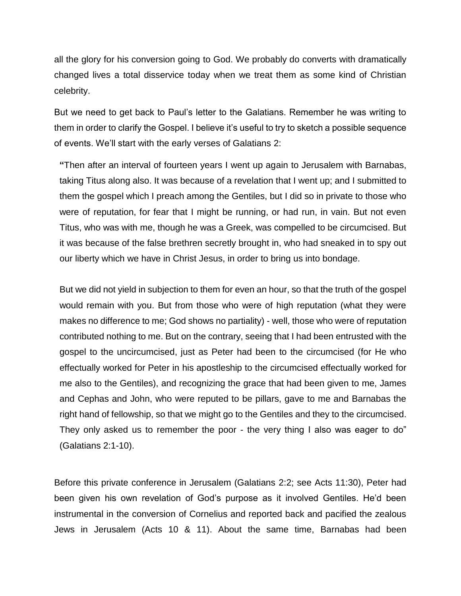all the glory for his conversion going to God. We probably do converts with dramatically changed lives a total disservice today when we treat them as some kind of Christian celebrity.

But we need to get back to Paul's letter to the Galatians. Remember he was writing to them in order to clarify the Gospel. I believe it's useful to try to sketch a possible sequence of events. We'll start with the early verses of Galatians 2:

**"**Then after an interval of fourteen years I went up again to Jerusalem with Barnabas, taking Titus along also. It was because of a revelation that I went up; and I submitted to them the gospel which I preach among the Gentiles, but I did so in private to those who were of reputation, for fear that I might be running, or had run, in vain. But not even Titus, who was with me, though he was a Greek, was compelled to be circumcised. But it was because of the false brethren secretly brought in, who had sneaked in to spy out our liberty which we have in Christ Jesus, in order to bring us into bondage.

But we did not yield in subjection to them for even an hour, so that the truth of the gospel would remain with you. But from those who were of high reputation (what they were makes no difference to me; God shows no partiality) - well, those who were of reputation contributed nothing to me. But on the contrary, seeing that I had been entrusted with the gospel to the uncircumcised, just as Peter had been to the circumcised (for He who effectually worked for Peter in his apostleship to the circumcised effectually worked for me also to the Gentiles), and recognizing the grace that had been given to me, James and Cephas and John, who were reputed to be pillars, gave to me and Barnabas the right hand of fellowship, so that we might go to the Gentiles and they to the circumcised. They only asked us to remember the poor - the very thing I also was eager to do" (Galatians 2:1-10).

Before this private conference in Jerusalem (Galatians 2:2; see Acts 11:30), Peter had been given his own revelation of God's purpose as it involved Gentiles. He'd been instrumental in the conversion of Cornelius and reported back and pacified the zealous Jews in Jerusalem (Acts 10 & 11). About the same time, Barnabas had been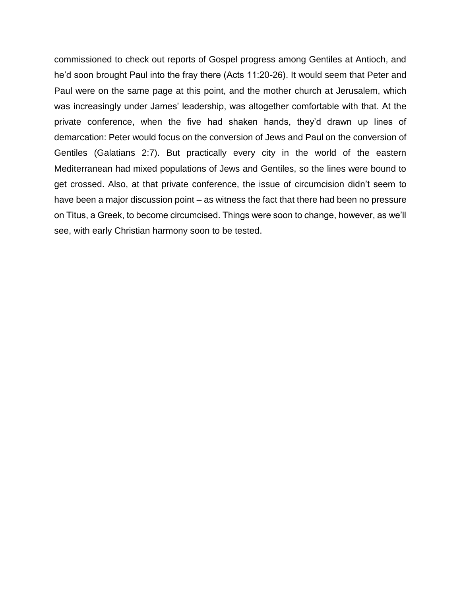commissioned to check out reports of Gospel progress among Gentiles at Antioch, and he'd soon brought Paul into the fray there (Acts 11:20-26). It would seem that Peter and Paul were on the same page at this point, and the mother church at Jerusalem, which was increasingly under James' leadership, was altogether comfortable with that. At the private conference, when the five had shaken hands, they'd drawn up lines of demarcation: Peter would focus on the conversion of Jews and Paul on the conversion of Gentiles (Galatians 2:7). But practically every city in the world of the eastern Mediterranean had mixed populations of Jews and Gentiles, so the lines were bound to get crossed. Also, at that private conference, the issue of circumcision didn't seem to have been a major discussion point – as witness the fact that there had been no pressure on Titus, a Greek, to become circumcised. Things were soon to change, however, as we'll see, with early Christian harmony soon to be tested.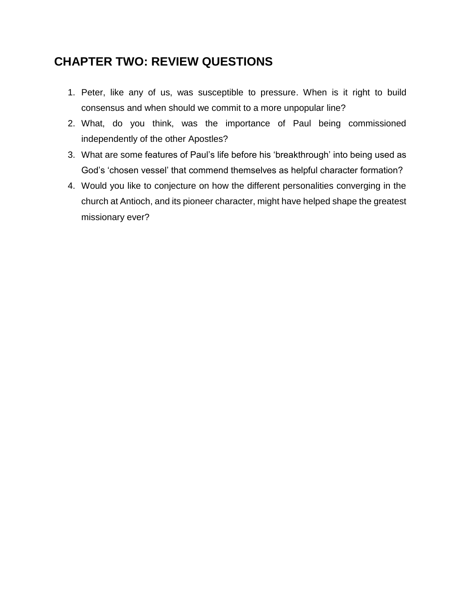#### **CHAPTER TWO: REVIEW QUESTIONS**

- 1. Peter, like any of us, was susceptible to pressure. When is it right to build consensus and when should we commit to a more unpopular line?
- 2. What, do you think, was the importance of Paul being commissioned independently of the other Apostles?
- 3. What are some features of Paul's life before his 'breakthrough' into being used as God's 'chosen vessel' that commend themselves as helpful character formation?
- 4. Would you like to conjecture on how the different personalities converging in the church at Antioch, and its pioneer character, might have helped shape the greatest missionary ever?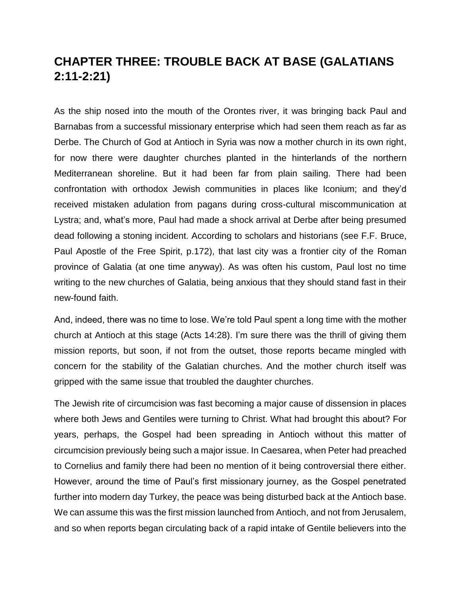## **CHAPTER THREE: TROUBLE BACK AT BASE (GALATIANS 2:11-2:21)**

As the ship nosed into the mouth of the Orontes river, it was bringing back Paul and Barnabas from a successful missionary enterprise which had seen them reach as far as Derbe. The Church of God at Antioch in Syria was now a mother church in its own right, for now there were daughter churches planted in the hinterlands of the northern Mediterranean shoreline. But it had been far from plain sailing. There had been confrontation with orthodox Jewish communities in places like Iconium; and they'd received mistaken adulation from pagans during cross-cultural miscommunication at Lystra; and, what's more, Paul had made a shock arrival at Derbe after being presumed dead following a stoning incident. According to scholars and historians (see F.F. Bruce, Paul Apostle of the Free Spirit, p.172), that last city was a frontier city of the Roman province of Galatia (at one time anyway). As was often his custom, Paul lost no time writing to the new churches of Galatia, being anxious that they should stand fast in their new-found faith.

And, indeed, there was no time to lose. We're told Paul spent a long time with the mother church at Antioch at this stage (Acts 14:28). I'm sure there was the thrill of giving them mission reports, but soon, if not from the outset, those reports became mingled with concern for the stability of the Galatian churches. And the mother church itself was gripped with the same issue that troubled the daughter churches.

The Jewish rite of circumcision was fast becoming a major cause of dissension in places where both Jews and Gentiles were turning to Christ. What had brought this about? For years, perhaps, the Gospel had been spreading in Antioch without this matter of circumcision previously being such a major issue. In Caesarea, when Peter had preached to Cornelius and family there had been no mention of it being controversial there either. However, around the time of Paul's first missionary journey, as the Gospel penetrated further into modern day Turkey, the peace was being disturbed back at the Antioch base. We can assume this was the first mission launched from Antioch, and not from Jerusalem, and so when reports began circulating back of a rapid intake of Gentile believers into the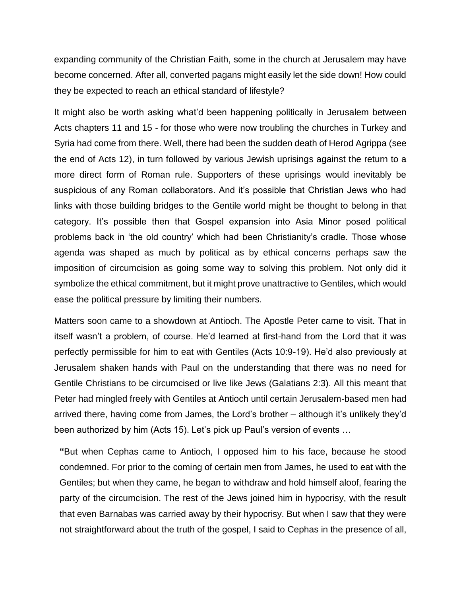expanding community of the Christian Faith, some in the church at Jerusalem may have become concerned. After all, converted pagans might easily let the side down! How could they be expected to reach an ethical standard of lifestyle?

It might also be worth asking what'd been happening politically in Jerusalem between Acts chapters 11 and 15 - for those who were now troubling the churches in Turkey and Syria had come from there. Well, there had been the sudden death of Herod Agrippa (see the end of Acts 12), in turn followed by various Jewish uprisings against the return to a more direct form of Roman rule. Supporters of these uprisings would inevitably be suspicious of any Roman collaborators. And it's possible that Christian Jews who had links with those building bridges to the Gentile world might be thought to belong in that category. It's possible then that Gospel expansion into Asia Minor posed political problems back in 'the old country' which had been Christianity's cradle. Those whose agenda was shaped as much by political as by ethical concerns perhaps saw the imposition of circumcision as going some way to solving this problem. Not only did it symbolize the ethical commitment, but it might prove unattractive to Gentiles, which would ease the political pressure by limiting their numbers.

Matters soon came to a showdown at Antioch. The Apostle Peter came to visit. That in itself wasn't a problem, of course. He'd learned at first-hand from the Lord that it was perfectly permissible for him to eat with Gentiles (Acts 10:9-19). He'd also previously at Jerusalem shaken hands with Paul on the understanding that there was no need for Gentile Christians to be circumcised or live like Jews (Galatians 2:3). All this meant that Peter had mingled freely with Gentiles at Antioch until certain Jerusalem-based men had arrived there, having come from James, the Lord's brother – although it's unlikely they'd been authorized by him (Acts 15). Let's pick up Paul's version of events …

**"**But when Cephas came to Antioch, I opposed him to his face, because he stood condemned. For prior to the coming of certain men from James, he used to eat with the Gentiles; but when they came, he began to withdraw and hold himself aloof, fearing the party of the circumcision. The rest of the Jews joined him in hypocrisy, with the result that even Barnabas was carried away by their hypocrisy. But when I saw that they were not straightforward about the truth of the gospel, I said to Cephas in the presence of all,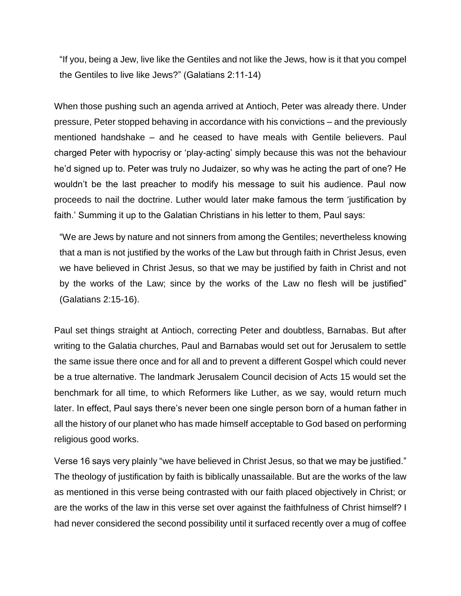"If you, being a Jew, live like the Gentiles and not like the Jews, how is it that you compel the Gentiles to live like Jews?" (Galatians 2:11-14)

When those pushing such an agenda arrived at Antioch, Peter was already there. Under pressure, Peter stopped behaving in accordance with his convictions – and the previously mentioned handshake – and he ceased to have meals with Gentile believers. Paul charged Peter with hypocrisy or 'play-acting' simply because this was not the behaviour he'd signed up to. Peter was truly no Judaizer, so why was he acting the part of one? He wouldn't be the last preacher to modify his message to suit his audience. Paul now proceeds to nail the doctrine. Luther would later make famous the term 'justification by faith.' Summing it up to the Galatian Christians in his letter to them, Paul says:

"We are Jews by nature and not sinners from among the Gentiles; nevertheless knowing that a man is not justified by the works of the Law but through faith in Christ Jesus, even we have believed in Christ Jesus, so that we may be justified by faith in Christ and not by the works of the Law; since by the works of the Law no flesh will be justified" (Galatians 2:15-16).

Paul set things straight at Antioch, correcting Peter and doubtless, Barnabas. But after writing to the Galatia churches, Paul and Barnabas would set out for Jerusalem to settle the same issue there once and for all and to prevent a different Gospel which could never be a true alternative. The landmark Jerusalem Council decision of Acts 15 would set the benchmark for all time, to which Reformers like Luther, as we say, would return much later. In effect, Paul says there's never been one single person born of a human father in all the history of our planet who has made himself acceptable to God based on performing religious good works.

Verse 16 says very plainly "we have believed in Christ Jesus, so that we may be justified." The theology of justification by faith is biblically unassailable. But are the works of the law as mentioned in this verse being contrasted with our faith placed objectively in Christ; or are the works of the law in this verse set over against the faithfulness of Christ himself? I had never considered the second possibility until it surfaced recently over a mug of coffee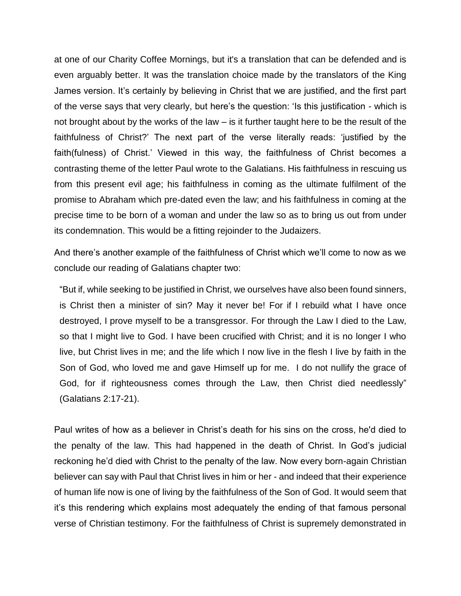at one of our Charity Coffee Mornings, but it's a translation that can be defended and is even arguably better. It was the translation choice made by the translators of the King James version. It's certainly by believing in Christ that we are justified, and the first part of the verse says that very clearly, but here's the question: 'Is this justification - which is not brought about by the works of the law – is it further taught here to be the result of the faithfulness of Christ?' The next part of the verse literally reads: 'justified by the faith(fulness) of Christ.' Viewed in this way, the faithfulness of Christ becomes a contrasting theme of the letter Paul wrote to the Galatians. His faithfulness in rescuing us from this present evil age; his faithfulness in coming as the ultimate fulfilment of the promise to Abraham which pre-dated even the law; and his faithfulness in coming at the precise time to be born of a woman and under the law so as to bring us out from under its condemnation. This would be a fitting rejoinder to the Judaizers.

And there's another example of the faithfulness of Christ which we'll come to now as we conclude our reading of Galatians chapter two:

"But if, while seeking to be justified in Christ, we ourselves have also been found sinners, is Christ then a minister of sin? May it never be! For if I rebuild what I have once destroyed, I prove myself to be a transgressor. For through the Law I died to the Law, so that I might live to God. I have been crucified with Christ; and it is no longer I who live, but Christ lives in me; and the life which I now live in the flesh I live by faith in the Son of God, who loved me and gave Himself up for me. I do not nullify the grace of God, for if righteousness comes through the Law, then Christ died needlessly" (Galatians 2:17-21).

Paul writes of how as a believer in Christ's death for his sins on the cross, he'd died to the penalty of the law. This had happened in the death of Christ. In God's judicial reckoning he'd died with Christ to the penalty of the law. Now every born-again Christian believer can say with Paul that Christ lives in him or her - and indeed that their experience of human life now is one of living by the faithfulness of the Son of God. It would seem that it's this rendering which explains most adequately the ending of that famous personal verse of Christian testimony. For the faithfulness of Christ is supremely demonstrated in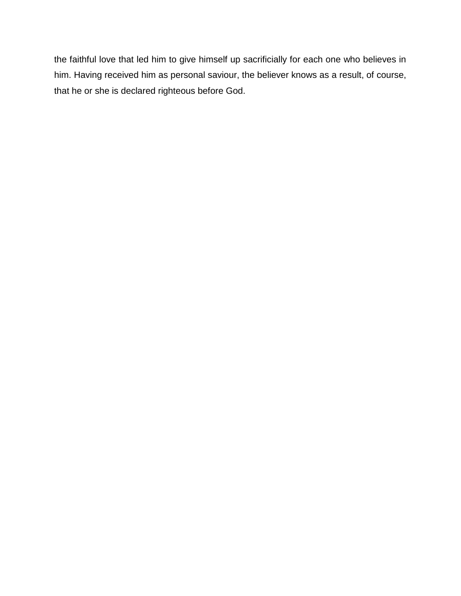the faithful love that led him to give himself up sacrificially for each one who believes in him. Having received him as personal saviour, the believer knows as a result, of course, that he or she is declared righteous before God.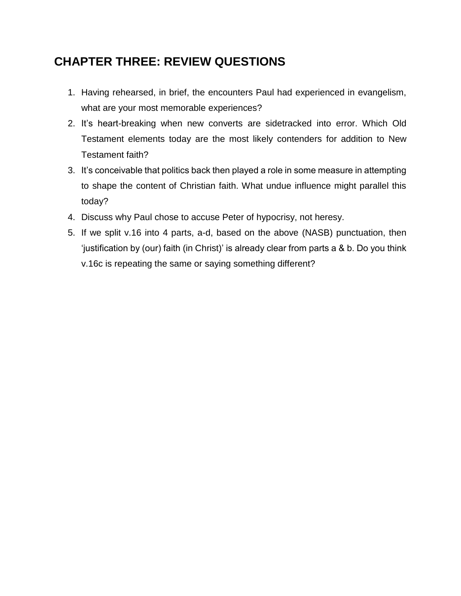## **CHAPTER THREE: REVIEW QUESTIONS**

- 1. Having rehearsed, in brief, the encounters Paul had experienced in evangelism, what are your most memorable experiences?
- 2. It's heart-breaking when new converts are sidetracked into error. Which Old Testament elements today are the most likely contenders for addition to New Testament faith?
- 3. It's conceivable that politics back then played a role in some measure in attempting to shape the content of Christian faith. What undue influence might parallel this today?
- 4. Discuss why Paul chose to accuse Peter of hypocrisy, not heresy.
- 5. If we split v.16 into 4 parts, a-d, based on the above (NASB) punctuation, then 'justification by (our) faith (in Christ)' is already clear from parts a & b. Do you think v.16c is repeating the same or saying something different?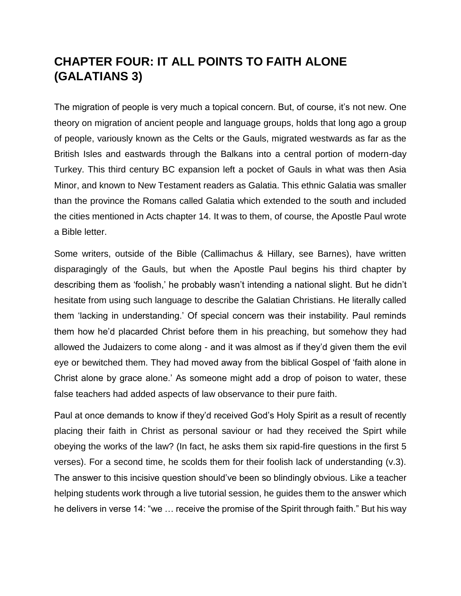## **CHAPTER FOUR: IT ALL POINTS TO FAITH ALONE (GALATIANS 3)**

The migration of people is very much a topical concern. But, of course, it's not new. One theory on migration of ancient people and language groups, holds that long ago a group of people, variously known as the Celts or the Gauls, migrated westwards as far as the British Isles and eastwards through the Balkans into a central portion of modern-day Turkey. This third century BC expansion left a pocket of Gauls in what was then Asia Minor, and known to New Testament readers as Galatia. This ethnic Galatia was smaller than the province the Romans called Galatia which extended to the south and included the cities mentioned in Acts chapter 14. It was to them, of course, the Apostle Paul wrote a Bible letter.

Some writers, outside of the Bible (Callimachus & Hillary, see Barnes), have written disparagingly of the Gauls, but when the Apostle Paul begins his third chapter by describing them as 'foolish,' he probably wasn't intending a national slight. But he didn't hesitate from using such language to describe the Galatian Christians. He literally called them 'lacking in understanding.' Of special concern was their instability. Paul reminds them how he'd placarded Christ before them in his preaching, but somehow they had allowed the Judaizers to come along - and it was almost as if they'd given them the evil eye or bewitched them. They had moved away from the biblical Gospel of 'faith alone in Christ alone by grace alone.' As someone might add a drop of poison to water, these false teachers had added aspects of law observance to their pure faith.

Paul at once demands to know if they'd received God's Holy Spirit as a result of recently placing their faith in Christ as personal saviour or had they received the Spirt while obeying the works of the law? (In fact, he asks them six rapid-fire questions in the first 5 verses). For a second time, he scolds them for their foolish lack of understanding (v.3). The answer to this incisive question should've been so blindingly obvious. Like a teacher helping students work through a live tutorial session, he guides them to the answer which he delivers in verse 14: "we … receive the promise of the Spirit through faith." But his way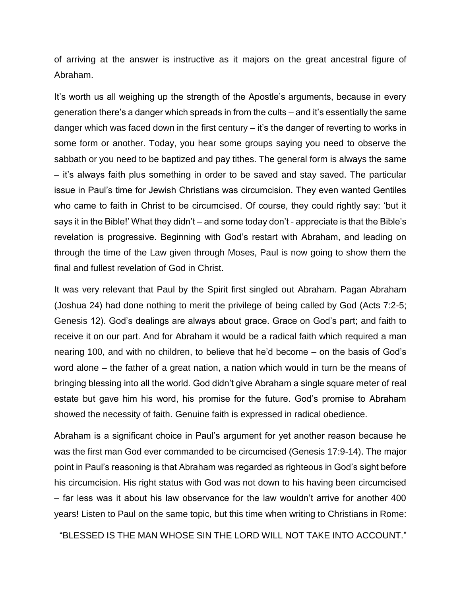of arriving at the answer is instructive as it majors on the great ancestral figure of Abraham.

It's worth us all weighing up the strength of the Apostle's arguments, because in every generation there's a danger which spreads in from the cults – and it's essentially the same danger which was faced down in the first century – it's the danger of reverting to works in some form or another. Today, you hear some groups saying you need to observe the sabbath or you need to be baptized and pay tithes. The general form is always the same – it's always faith plus something in order to be saved and stay saved. The particular issue in Paul's time for Jewish Christians was circumcision. They even wanted Gentiles who came to faith in Christ to be circumcised. Of course, they could rightly say: 'but it says it in the Bible!' What they didn't – and some today don't - appreciate is that the Bible's revelation is progressive. Beginning with God's restart with Abraham, and leading on through the time of the Law given through Moses, Paul is now going to show them the final and fullest revelation of God in Christ.

It was very relevant that Paul by the Spirit first singled out Abraham. Pagan Abraham (Joshua 24) had done nothing to merit the privilege of being called by God (Acts 7:2-5; Genesis 12). God's dealings are always about grace. Grace on God's part; and faith to receive it on our part. And for Abraham it would be a radical faith which required a man nearing 100, and with no children, to believe that he'd become – on the basis of God's word alone – the father of a great nation, a nation which would in turn be the means of bringing blessing into all the world. God didn't give Abraham a single square meter of real estate but gave him his word, his promise for the future. God's promise to Abraham showed the necessity of faith. Genuine faith is expressed in radical obedience.

Abraham is a significant choice in Paul's argument for yet another reason because he was the first man God ever commanded to be circumcised (Genesis 17:9-14). The major point in Paul's reasoning is that Abraham was regarded as righteous in God's sight before his circumcision. His right status with God was not down to his having been circumcised – far less was it about his law observance for the law wouldn't arrive for another 400 years! Listen to Paul on the same topic, but this time when writing to Christians in Rome:

"BLESSED IS THE MAN WHOSE SIN THE LORD WILL NOT TAKE INTO ACCOUNT."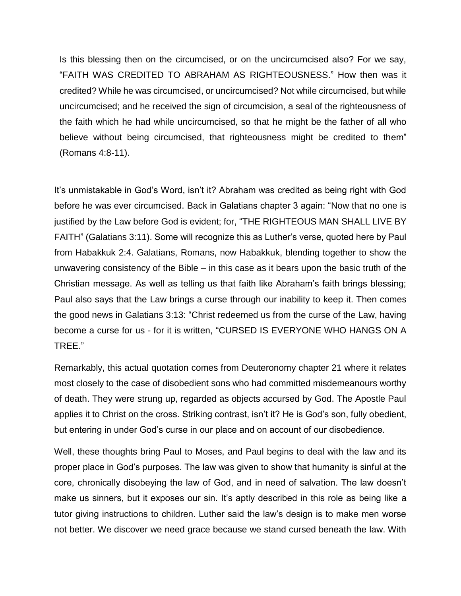Is this blessing then on the circumcised, or on the uncircumcised also? For we say, "FAITH WAS CREDITED TO ABRAHAM AS RIGHTEOUSNESS." How then was it credited? While he was circumcised, or uncircumcised? Not while circumcised, but while uncircumcised; and he received the sign of circumcision, a seal of the righteousness of the faith which he had while uncircumcised, so that he might be the father of all who believe without being circumcised, that righteousness might be credited to them" (Romans 4:8-11).

It's unmistakable in God's Word, isn't it? Abraham was credited as being right with God before he was ever circumcised. Back in Galatians chapter 3 again: "Now that no one is justified by the Law before God is evident; for, "THE RIGHTEOUS MAN SHALL LIVE BY FAITH" (Galatians 3:11). Some will recognize this as Luther's verse, quoted here by Paul from Habakkuk 2:4. Galatians, Romans, now Habakkuk, blending together to show the unwavering consistency of the Bible – in this case as it bears upon the basic truth of the Christian message. As well as telling us that faith like Abraham's faith brings blessing; Paul also says that the Law brings a curse through our inability to keep it. Then comes the good news in Galatians 3:13: "Christ redeemed us from the curse of the Law, having become a curse for us - for it is written, "CURSED IS EVERYONE WHO HANGS ON A TREE."

Remarkably, this actual quotation comes from Deuteronomy chapter 21 where it relates most closely to the case of disobedient sons who had committed misdemeanours worthy of death. They were strung up, regarded as objects accursed by God. The Apostle Paul applies it to Christ on the cross. Striking contrast, isn't it? He is God's son, fully obedient, but entering in under God's curse in our place and on account of our disobedience.

Well, these thoughts bring Paul to Moses, and Paul begins to deal with the law and its proper place in God's purposes. The law was given to show that humanity is sinful at the core, chronically disobeying the law of God, and in need of salvation. The law doesn't make us sinners, but it exposes our sin. It's aptly described in this role as being like a tutor giving instructions to children. Luther said the law's design is to make men worse not better. We discover we need grace because we stand cursed beneath the law. With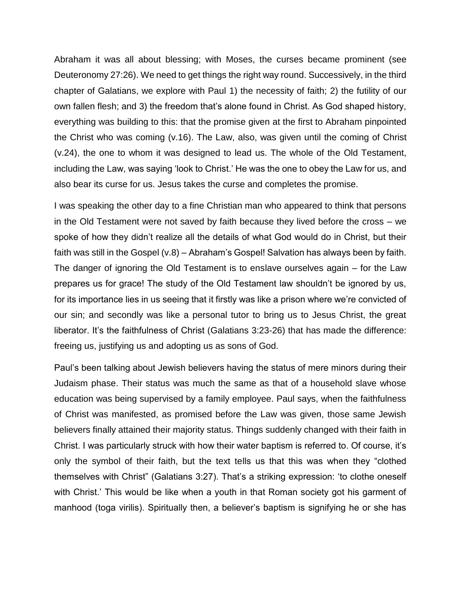Abraham it was all about blessing; with Moses, the curses became prominent (see Deuteronomy 27:26). We need to get things the right way round. Successively, in the third chapter of Galatians, we explore with Paul 1) the necessity of faith; 2) the futility of our own fallen flesh; and 3) the freedom that's alone found in Christ. As God shaped history, everything was building to this: that the promise given at the first to Abraham pinpointed the Christ who was coming (v.16). The Law, also, was given until the coming of Christ (v.24), the one to whom it was designed to lead us. The whole of the Old Testament, including the Law, was saying 'look to Christ.' He was the one to obey the Law for us, and also bear its curse for us. Jesus takes the curse and completes the promise.

I was speaking the other day to a fine Christian man who appeared to think that persons in the Old Testament were not saved by faith because they lived before the cross – we spoke of how they didn't realize all the details of what God would do in Christ, but their faith was still in the Gospel (v.8) – Abraham's Gospel! Salvation has always been by faith. The danger of ignoring the Old Testament is to enslave ourselves again – for the Law prepares us for grace! The study of the Old Testament law shouldn't be ignored by us, for its importance lies in us seeing that it firstly was like a prison where we're convicted of our sin; and secondly was like a personal tutor to bring us to Jesus Christ, the great liberator. It's the faithfulness of Christ (Galatians 3:23-26) that has made the difference: freeing us, justifying us and adopting us as sons of God.

Paul's been talking about Jewish believers having the status of mere minors during their Judaism phase. Their status was much the same as that of a household slave whose education was being supervised by a family employee. Paul says, when the faithfulness of Christ was manifested, as promised before the Law was given, those same Jewish believers finally attained their majority status. Things suddenly changed with their faith in Christ. I was particularly struck with how their water baptism is referred to. Of course, it's only the symbol of their faith, but the text tells us that this was when they "clothed themselves with Christ" (Galatians 3:27). That's a striking expression: 'to clothe oneself with Christ.' This would be like when a youth in that Roman society got his garment of manhood (toga virilis). Spiritually then, a believer's baptism is signifying he or she has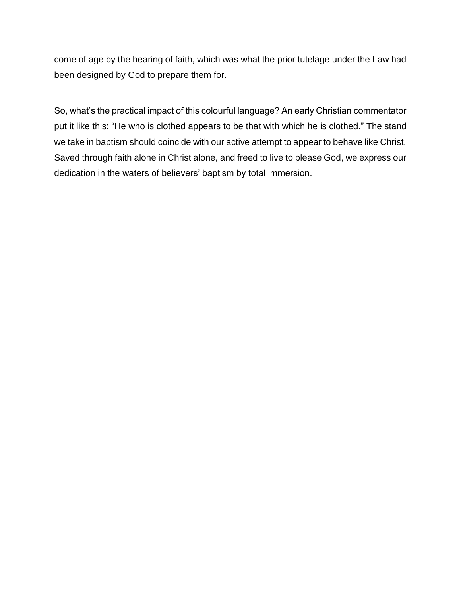come of age by the hearing of faith, which was what the prior tutelage under the Law had been designed by God to prepare them for.

So, what's the practical impact of this colourful language? An early Christian commentator put it like this: "He who is clothed appears to be that with which he is clothed." The stand we take in baptism should coincide with our active attempt to appear to behave like Christ. Saved through faith alone in Christ alone, and freed to live to please God, we express our dedication in the waters of believers' baptism by total immersion.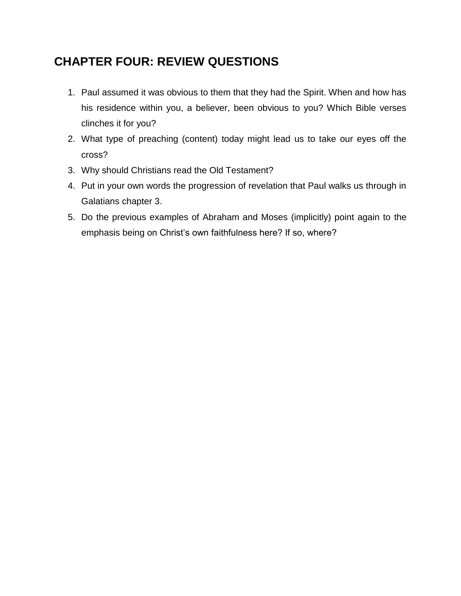## **CHAPTER FOUR: REVIEW QUESTIONS**

- 1. Paul assumed it was obvious to them that they had the Spirit. When and how has his residence within you, a believer, been obvious to you? Which Bible verses clinches it for you?
- 2. What type of preaching (content) today might lead us to take our eyes off the cross?
- 3. Why should Christians read the Old Testament?
- 4. Put in your own words the progression of revelation that Paul walks us through in Galatians chapter 3.
- 5. Do the previous examples of Abraham and Moses (implicitly) point again to the emphasis being on Christ's own faithfulness here? If so, where?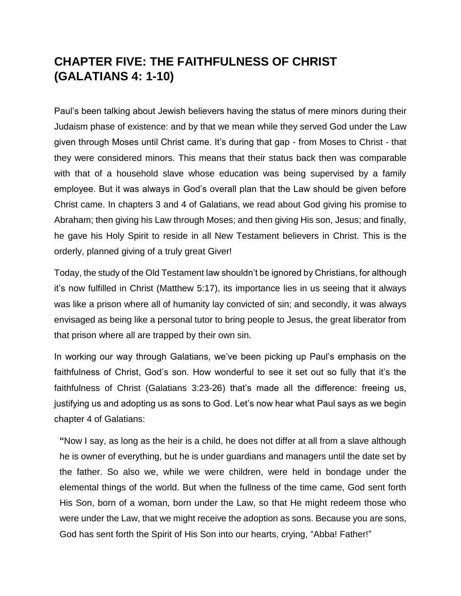## **CHAPTER FIVE: THE FAITHFULNESS OF CHRIST (GALATIANS 4: 1-10)**

Paul's been talking about Jewish believers having the status of mere minors during their Judaism phase of existence: and by that we mean while they served God under the Law given through Moses until Christ came. It's during that gap - from Moses to Christ - that they were considered minors. This means that their status back then was comparable with that of a household slave whose education was being supervised by a family employee. But it was always in God's overall plan that the Law should be given before Christ came. In chapters 3 and 4 of Galatians, we read about God giving his promise to Abraham; then giving his Law through Moses; and then giving His son, Jesus; and finally, he gave his Holy Spirit to reside in all New Testament believers in Christ. This is the orderly, planned giving of a truly great Giver!

Today, the study of the Old Testament law shouldn't be ignored by Christians, for although it's now fulfilled in Christ (Matthew 5:17), its importance lies in us seeing that it always was like a prison where all of humanity lay convicted of sin; and secondly, it was always envisaged as being like a personal tutor to bring people to Jesus, the great liberator from that prison where all are trapped by their own sin.

In working our way through Galatians, we've been picking up Paul's emphasis on the faithfulness of Christ, God's son. How wonderful to see it set out so fully that it's the faithfulness of Christ (Galatians 3:23-26) that's made all the difference: freeing us, justifying us and adopting us as sons to God. Let's now hear what Paul says as we begin chapter 4 of Galatians:

**"**Now I say, as long as the heir is a child, he does not differ at all from a slave although he is owner of everything, but he is under guardians and managers until the date set by the father. So also we, while we were children, were held in bondage under the elemental things of the world. But when the fullness of the time came, God sent forth His Son, born of a woman, born under the Law, so that He might redeem those who were under the Law, that we might receive the adoption as sons. Because you are sons, God has sent forth the Spirit of His Son into our hearts, crying, "Abba! Father!"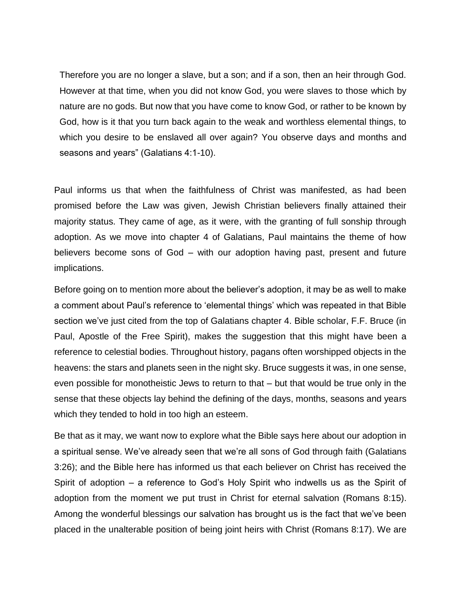Therefore you are no longer a slave, but a son; and if a son, then an heir through God. However at that time, when you did not know God, you were slaves to those which by nature are no gods. But now that you have come to know God, or rather to be known by God, how is it that you turn back again to the weak and worthless elemental things, to which you desire to be enslaved all over again? You observe days and months and seasons and years" (Galatians 4:1-10).

Paul informs us that when the faithfulness of Christ was manifested, as had been promised before the Law was given, Jewish Christian believers finally attained their majority status. They came of age, as it were, with the granting of full sonship through adoption. As we move into chapter 4 of Galatians, Paul maintains the theme of how believers become sons of God – with our adoption having past, present and future implications.

Before going on to mention more about the believer's adoption, it may be as well to make a comment about Paul's reference to 'elemental things' which was repeated in that Bible section we've just cited from the top of Galatians chapter 4. Bible scholar, F.F. Bruce (in Paul, Apostle of the Free Spirit), makes the suggestion that this might have been a reference to celestial bodies. Throughout history, pagans often worshipped objects in the heavens: the stars and planets seen in the night sky. Bruce suggests it was, in one sense, even possible for monotheistic Jews to return to that – but that would be true only in the sense that these objects lay behind the defining of the days, months, seasons and years which they tended to hold in too high an esteem.

Be that as it may, we want now to explore what the Bible says here about our adoption in a spiritual sense. We've already seen that we're all sons of God through faith (Galatians 3:26); and the Bible here has informed us that each believer on Christ has received the Spirit of adoption – a reference to God's Holy Spirit who indwells us as the Spirit of adoption from the moment we put trust in Christ for eternal salvation (Romans 8:15). Among the wonderful blessings our salvation has brought us is the fact that we've been placed in the unalterable position of being joint heirs with Christ (Romans 8:17). We are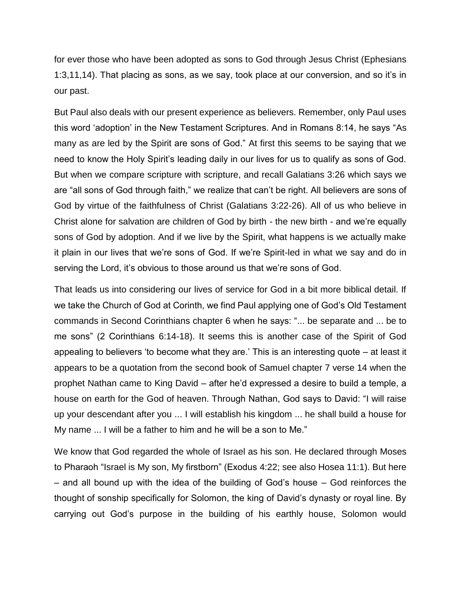for ever those who have been adopted as sons to God through Jesus Christ (Ephesians 1:3,11,14). That placing as sons, as we say, took place at our conversion, and so it's in our past.

But Paul also deals with our present experience as believers. Remember, only Paul uses this word 'adoption' in the New Testament Scriptures. And in Romans 8:14, he says "As many as are led by the Spirit are sons of God." At first this seems to be saying that we need to know the Holy Spirit's leading daily in our lives for us to qualify as sons of God. But when we compare scripture with scripture, and recall Galatians 3:26 which says we are "all sons of God through faith," we realize that can't be right. All believers are sons of God by virtue of the faithfulness of Christ (Galatians 3:22-26). All of us who believe in Christ alone for salvation are children of God by birth - the new birth - and we're equally sons of God by adoption. And if we live by the Spirit, what happens is we actually make it plain in our lives that we're sons of God. If we're Spirit-led in what we say and do in serving the Lord, it's obvious to those around us that we're sons of God.

That leads us into considering our lives of service for God in a bit more biblical detail. If we take the Church of God at Corinth, we find Paul applying one of God's Old Testament commands in Second Corinthians chapter 6 when he says: "... be separate and ... be to me sons" (2 Corinthians 6:14-18). It seems this is another case of the Spirit of God appealing to believers 'to become what they are.' This is an interesting quote – at least it appears to be a quotation from the second book of Samuel chapter 7 verse 14 when the prophet Nathan came to King David – after he'd expressed a desire to build a temple, a house on earth for the God of heaven. Through Nathan, God says to David: "I will raise up your descendant after you ... I will establish his kingdom ... he shall build a house for My name ... I will be a father to him and he will be a son to Me."

We know that God regarded the whole of Israel as his son. He declared through Moses to Pharaoh "Israel is My son, My firstborn" (Exodus 4:22; see also Hosea 11:1). But here – and all bound up with the idea of the building of God's house – God reinforces the thought of sonship specifically for Solomon, the king of David's dynasty or royal line. By carrying out God's purpose in the building of his earthly house, Solomon would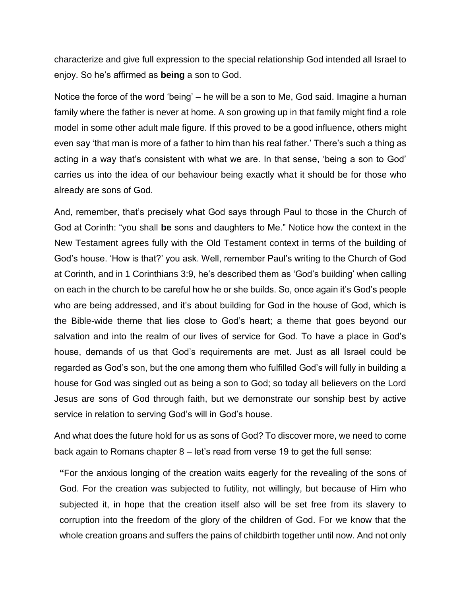characterize and give full expression to the special relationship God intended all Israel to enjoy. So he's affirmed as **being** a son to God.

Notice the force of the word 'being' – he will be a son to Me, God said. Imagine a human family where the father is never at home. A son growing up in that family might find a role model in some other adult male figure. If this proved to be a good influence, others might even say 'that man is more of a father to him than his real father.' There's such a thing as acting in a way that's consistent with what we are. In that sense, 'being a son to God' carries us into the idea of our behaviour being exactly what it should be for those who already are sons of God.

And, remember, that's precisely what God says through Paul to those in the Church of God at Corinth: "you shall **be** sons and daughters to Me." Notice how the context in the New Testament agrees fully with the Old Testament context in terms of the building of God's house. 'How is that?' you ask. Well, remember Paul's writing to the Church of God at Corinth, and in 1 Corinthians 3:9, he's described them as 'God's building' when calling on each in the church to be careful how he or she builds. So, once again it's God's people who are being addressed, and it's about building for God in the house of God, which is the Bible-wide theme that lies close to God's heart; a theme that goes beyond our salvation and into the realm of our lives of service for God. To have a place in God's house, demands of us that God's requirements are met. Just as all Israel could be regarded as God's son, but the one among them who fulfilled God's will fully in building a house for God was singled out as being a son to God; so today all believers on the Lord Jesus are sons of God through faith, but we demonstrate our sonship best by active service in relation to serving God's will in God's house.

And what does the future hold for us as sons of God? To discover more, we need to come back again to Romans chapter 8 – let's read from verse 19 to get the full sense:

**"**For the anxious longing of the creation waits eagerly for the revealing of the sons of God. For the creation was subjected to futility, not willingly, but because of Him who subjected it, in hope that the creation itself also will be set free from its slavery to corruption into the freedom of the glory of the children of God. For we know that the whole creation groans and suffers the pains of childbirth together until now. And not only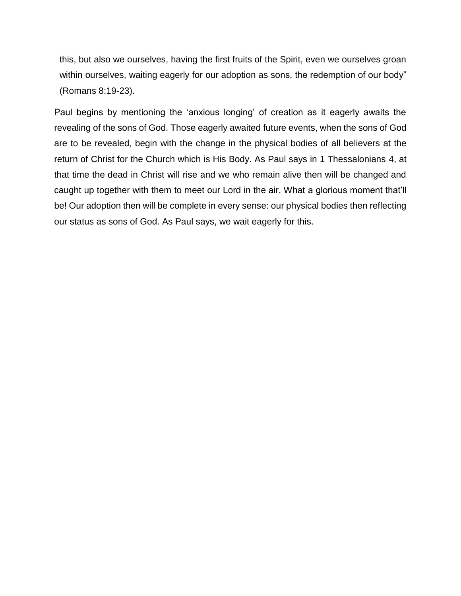this, but also we ourselves, having the first fruits of the Spirit, even we ourselves groan within ourselves, waiting eagerly for our adoption as sons, the redemption of our body" (Romans 8:19-23).

Paul begins by mentioning the 'anxious longing' of creation as it eagerly awaits the revealing of the sons of God. Those eagerly awaited future events, when the sons of God are to be revealed, begin with the change in the physical bodies of all believers at the return of Christ for the Church which is His Body. As Paul says in 1 Thessalonians 4, at that time the dead in Christ will rise and we who remain alive then will be changed and caught up together with them to meet our Lord in the air. What a glorious moment that'll be! Our adoption then will be complete in every sense: our physical bodies then reflecting our status as sons of God. As Paul says, we wait eagerly for this.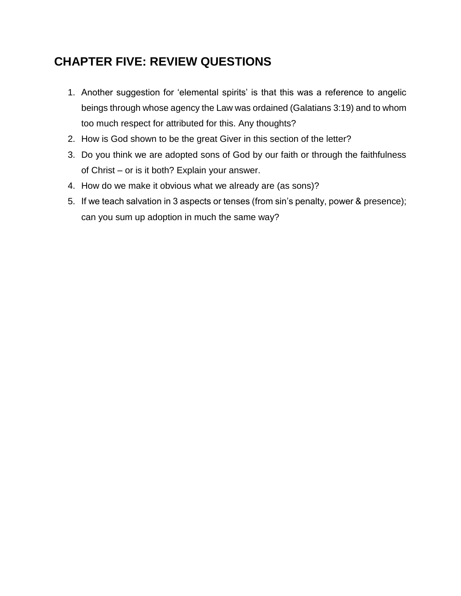## **CHAPTER FIVE: REVIEW QUESTIONS**

- 1. Another suggestion for 'elemental spirits' is that this was a reference to angelic beings through whose agency the Law was ordained (Galatians 3:19) and to whom too much respect for attributed for this. Any thoughts?
- 2. How is God shown to be the great Giver in this section of the letter?
- 3. Do you think we are adopted sons of God by our faith or through the faithfulness of Christ – or is it both? Explain your answer.
- 4. How do we make it obvious what we already are (as sons)?
- 5. If we teach salvation in 3 aspects or tenses (from sin's penalty, power & presence); can you sum up adoption in much the same way?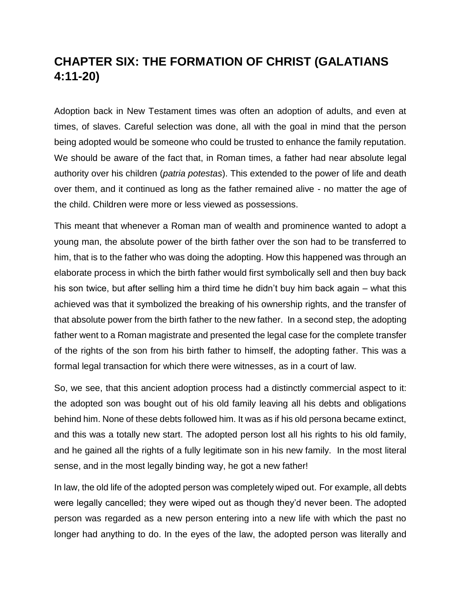## **CHAPTER SIX: THE FORMATION OF CHRIST (GALATIANS 4:11-20)**

Adoption back in New Testament times was often an adoption of adults, and even at times, of slaves. Careful selection was done, all with the goal in mind that the person being adopted would be someone who could be trusted to enhance the family reputation. We should be aware of the fact that, in Roman times, a father had near absolute legal authority over his children (*patria potestas*). This extended to the power of life and death over them, and it continued as long as the father remained alive - no matter the age of the child. Children were more or less viewed as possessions.

This meant that whenever a Roman man of wealth and prominence wanted to adopt a young man, the absolute power of the birth father over the son had to be transferred to him, that is to the father who was doing the adopting. How this happened was through an elaborate process in which the birth father would first symbolically sell and then buy back his son twice, but after selling him a third time he didn't buy him back again – what this achieved was that it symbolized the breaking of his ownership rights, and the transfer of that absolute power from the birth father to the new father. In a second step, the adopting father went to a Roman magistrate and presented the legal case for the complete transfer of the rights of the son from his birth father to himself, the adopting father. This was a formal legal transaction for which there were witnesses, as in a court of law.

So, we see, that this ancient adoption process had a distinctly commercial aspect to it: the adopted son was bought out of his old family leaving all his debts and obligations behind him. None of these debts followed him. It was as if his old persona became extinct, and this was a totally new start. The adopted person lost all his rights to his old family, and he gained all the rights of a fully legitimate son in his new family. In the most literal sense, and in the most legally binding way, he got a new father!

In law, the old life of the adopted person was completely wiped out. For example, all debts were legally cancelled; they were wiped out as though they'd never been. The adopted person was regarded as a new person entering into a new life with which the past no longer had anything to do. In the eyes of the law, the adopted person was literally and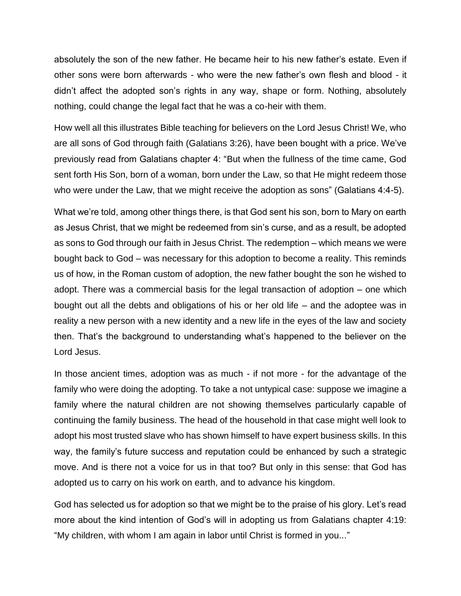absolutely the son of the new father. He became heir to his new father's estate. Even if other sons were born afterwards - who were the new father's own flesh and blood - it didn't affect the adopted son's rights in any way, shape or form. Nothing, absolutely nothing, could change the legal fact that he was a co-heir with them.

How well all this illustrates Bible teaching for believers on the Lord Jesus Christ! We, who are all sons of God through faith (Galatians 3:26), have been bought with a price. We've previously read from Galatians chapter 4: "But when the fullness of the time came, God sent forth His Son, born of a woman, born under the Law, so that He might redeem those who were under the Law, that we might receive the adoption as sons" (Galatians 4:4-5).

What we're told, among other things there, is that God sent his son, born to Mary on earth as Jesus Christ, that we might be redeemed from sin's curse, and as a result, be adopted as sons to God through our faith in Jesus Christ. The redemption – which means we were bought back to God – was necessary for this adoption to become a reality. This reminds us of how, in the Roman custom of adoption, the new father bought the son he wished to adopt. There was a commercial basis for the legal transaction of adoption – one which bought out all the debts and obligations of his or her old life – and the adoptee was in reality a new person with a new identity and a new life in the eyes of the law and society then. That's the background to understanding what's happened to the believer on the Lord Jesus.

In those ancient times, adoption was as much - if not more - for the advantage of the family who were doing the adopting. To take a not untypical case: suppose we imagine a family where the natural children are not showing themselves particularly capable of continuing the family business. The head of the household in that case might well look to adopt his most trusted slave who has shown himself to have expert business skills. In this way, the family's future success and reputation could be enhanced by such a strategic move. And is there not a voice for us in that too? But only in this sense: that God has adopted us to carry on his work on earth, and to advance his kingdom.

God has selected us for adoption so that we might be to the praise of his glory. Let's read more about the kind intention of God's will in adopting us from Galatians chapter 4:19: "My children, with whom I am again in labor until Christ is formed in you..."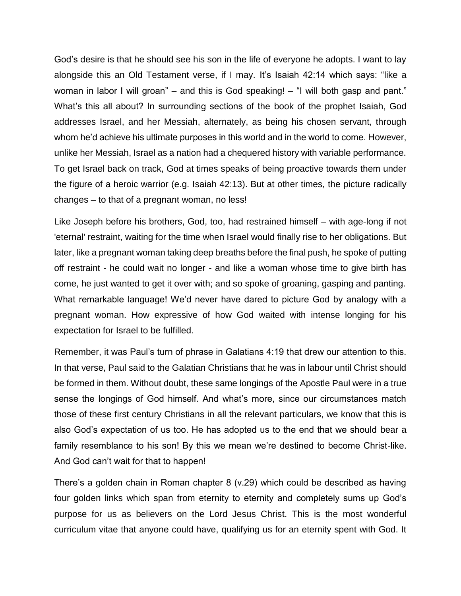God's desire is that he should see his son in the life of everyone he adopts. I want to lay alongside this an Old Testament verse, if I may. It's Isaiah 42:14 which says: "like a woman in labor I will groan" – and this is God speaking! – "I will both gasp and pant." What's this all about? In surrounding sections of the book of the prophet Isaiah, God addresses Israel, and her Messiah, alternately, as being his chosen servant, through whom he'd achieve his ultimate purposes in this world and in the world to come. However, unlike her Messiah, Israel as a nation had a chequered history with variable performance. To get Israel back on track, God at times speaks of being proactive towards them under the figure of a heroic warrior (e.g. Isaiah 42:13). But at other times, the picture radically changes – to that of a pregnant woman, no less!

Like Joseph before his brothers, God, too, had restrained himself – with age-long if not 'eternal' restraint, waiting for the time when Israel would finally rise to her obligations. But later, like a pregnant woman taking deep breaths before the final push, he spoke of putting off restraint - he could wait no longer - and like a woman whose time to give birth has come, he just wanted to get it over with; and so spoke of groaning, gasping and panting. What remarkable language! We'd never have dared to picture God by analogy with a pregnant woman. How expressive of how God waited with intense longing for his expectation for Israel to be fulfilled.

Remember, it was Paul's turn of phrase in Galatians 4:19 that drew our attention to this. In that verse, Paul said to the Galatian Christians that he was in labour until Christ should be formed in them. Without doubt, these same longings of the Apostle Paul were in a true sense the longings of God himself. And what's more, since our circumstances match those of these first century Christians in all the relevant particulars, we know that this is also God's expectation of us too. He has adopted us to the end that we should bear a family resemblance to his son! By this we mean we're destined to become Christ-like. And God can't wait for that to happen!

There's a golden chain in Roman chapter 8 (v.29) which could be described as having four golden links which span from eternity to eternity and completely sums up God's purpose for us as believers on the Lord Jesus Christ. This is the most wonderful curriculum vitae that anyone could have, qualifying us for an eternity spent with God. It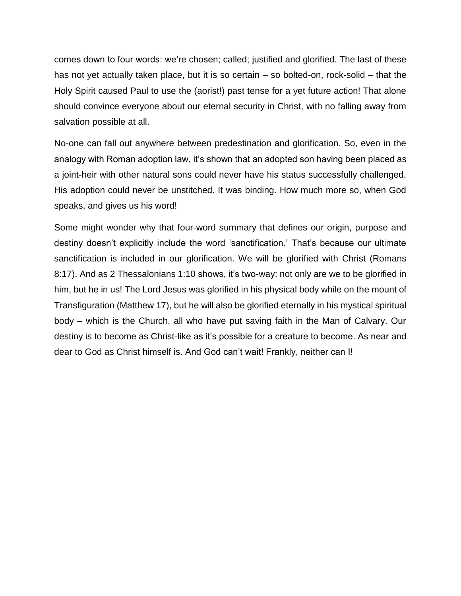comes down to four words: we're chosen; called; justified and glorified. The last of these has not yet actually taken place, but it is so certain – so bolted-on, rock-solid – that the Holy Spirit caused Paul to use the (aorist!) past tense for a yet future action! That alone should convince everyone about our eternal security in Christ, with no falling away from salvation possible at all.

No-one can fall out anywhere between predestination and glorification. So, even in the analogy with Roman adoption law, it's shown that an adopted son having been placed as a joint-heir with other natural sons could never have his status successfully challenged. His adoption could never be unstitched. It was binding. How much more so, when God speaks, and gives us his word!

Some might wonder why that four-word summary that defines our origin, purpose and destiny doesn't explicitly include the word 'sanctification.' That's because our ultimate sanctification is included in our glorification. We will be glorified with Christ (Romans 8:17). And as 2 Thessalonians 1:10 shows, it's two-way: not only are we to be glorified in him, but he in us! The Lord Jesus was glorified in his physical body while on the mount of Transfiguration (Matthew 17), but he will also be glorified eternally in his mystical spiritual body – which is the Church, all who have put saving faith in the Man of Calvary. Our destiny is to become as Christ-like as it's possible for a creature to become. As near and dear to God as Christ himself is. And God can't wait! Frankly, neither can I!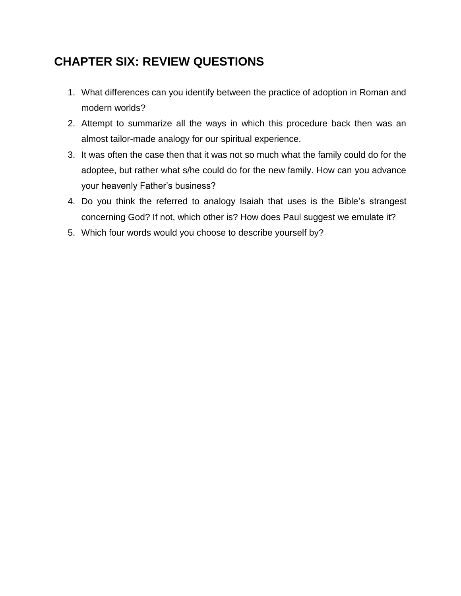# **CHAPTER SIX: REVIEW QUESTIONS**

- 1. What differences can you identify between the practice of adoption in Roman and modern worlds?
- 2. Attempt to summarize all the ways in which this procedure back then was an almost tailor-made analogy for our spiritual experience.
- 3. It was often the case then that it was not so much what the family could do for the adoptee, but rather what s/he could do for the new family. How can you advance your heavenly Father's business?
- 4. Do you think the referred to analogy Isaiah that uses is the Bible's strangest concerning God? If not, which other is? How does Paul suggest we emulate it?
- 5. Which four words would you choose to describe yourself by?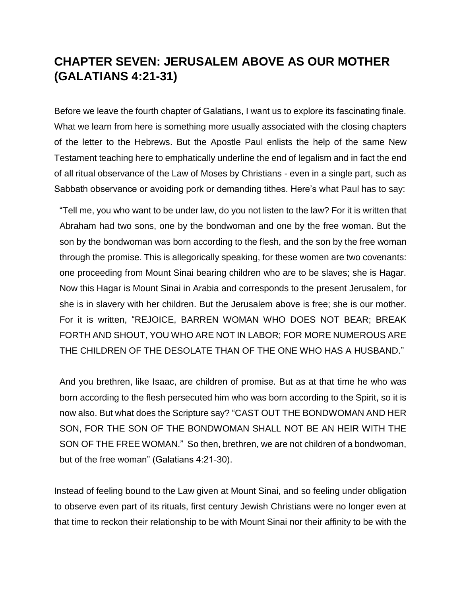## **CHAPTER SEVEN: JERUSALEM ABOVE AS OUR MOTHER (GALATIANS 4:21-31)**

Before we leave the fourth chapter of Galatians, I want us to explore its fascinating finale. What we learn from here is something more usually associated with the closing chapters of the letter to the Hebrews. But the Apostle Paul enlists the help of the same New Testament teaching here to emphatically underline the end of legalism and in fact the end of all ritual observance of the Law of Moses by Christians - even in a single part, such as Sabbath observance or avoiding pork or demanding tithes. Here's what Paul has to say:

"Tell me, you who want to be under law, do you not listen to the law? For it is written that Abraham had two sons, one by the bondwoman and one by the free woman. But the son by the bondwoman was born according to the flesh, and the son by the free woman through the promise. This is allegorically speaking, for these women are two covenants: one proceeding from Mount Sinai bearing children who are to be slaves; she is Hagar. Now this Hagar is Mount Sinai in Arabia and corresponds to the present Jerusalem, for she is in slavery with her children. But the Jerusalem above is free; she is our mother. For it is written, "REJOICE, BARREN WOMAN WHO DOES NOT BEAR; BREAK FORTH AND SHOUT, YOU WHO ARE NOT IN LABOR; FOR MORE NUMEROUS ARE THE CHILDREN OF THE DESOLATE THAN OF THE ONE WHO HAS A HUSBAND."

And you brethren, like Isaac, are children of promise. But as at that time he who was born according to the flesh persecuted him who was born according to the Spirit, so it is now also. But what does the Scripture say? "CAST OUT THE BONDWOMAN AND HER SON, FOR THE SON OF THE BONDWOMAN SHALL NOT BE AN HEIR WITH THE SON OF THE FREE WOMAN." So then, brethren, we are not children of a bondwoman, but of the free woman" (Galatians 4:21-30).

Instead of feeling bound to the Law given at Mount Sinai, and so feeling under obligation to observe even part of its rituals, first century Jewish Christians were no longer even at that time to reckon their relationship to be with Mount Sinai nor their affinity to be with the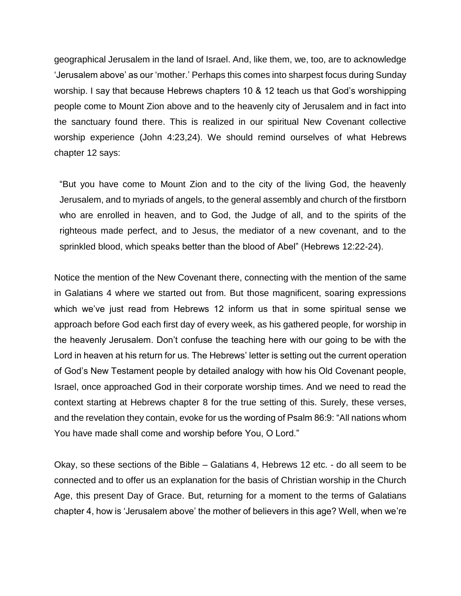geographical Jerusalem in the land of Israel. And, like them, we, too, are to acknowledge 'Jerusalem above' as our 'mother.' Perhaps this comes into sharpest focus during Sunday worship. I say that because Hebrews chapters 10 & 12 teach us that God's worshipping people come to Mount Zion above and to the heavenly city of Jerusalem and in fact into the sanctuary found there. This is realized in our spiritual New Covenant collective worship experience (John 4:23,24). We should remind ourselves of what Hebrews chapter 12 says:

"But you have come to Mount Zion and to the city of the living God, the heavenly Jerusalem, and to myriads of angels, to the general assembly and church of the firstborn who are enrolled in heaven, and to God, the Judge of all, and to the spirits of the righteous made perfect, and to Jesus, the mediator of a new covenant, and to the sprinkled blood, which speaks better than the blood of Abel" (Hebrews 12:22-24).

Notice the mention of the New Covenant there, connecting with the mention of the same in Galatians 4 where we started out from. But those magnificent, soaring expressions which we've just read from Hebrews 12 inform us that in some spiritual sense we approach before God each first day of every week, as his gathered people, for worship in the heavenly Jerusalem. Don't confuse the teaching here with our going to be with the Lord in heaven at his return for us. The Hebrews' letter is setting out the current operation of God's New Testament people by detailed analogy with how his Old Covenant people, Israel, once approached God in their corporate worship times. And we need to read the context starting at Hebrews chapter 8 for the true setting of this. Surely, these verses, and the revelation they contain, evoke for us the wording of Psalm 86:9: "All nations whom You have made shall come and worship before You, O Lord."

Okay, so these sections of the Bible – Galatians 4, Hebrews 12 etc. - do all seem to be connected and to offer us an explanation for the basis of Christian worship in the Church Age, this present Day of Grace. But, returning for a moment to the terms of Galatians chapter 4, how is 'Jerusalem above' the mother of believers in this age? Well, when we're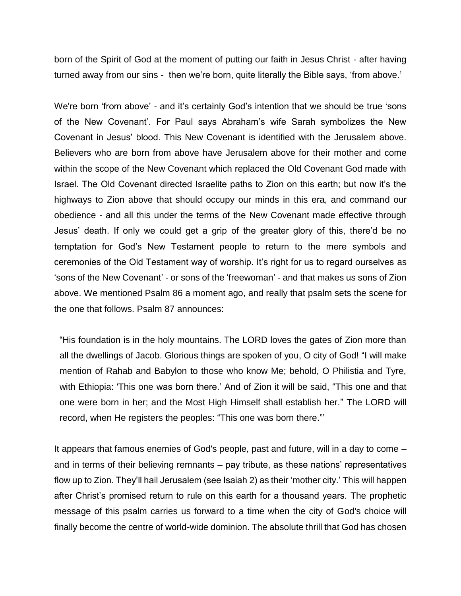born of the Spirit of God at the moment of putting our faith in Jesus Christ - after having turned away from our sins - then we're born, quite literally the Bible says, 'from above.'

We're born 'from above' - and it's certainly God's intention that we should be true 'sons of the New Covenant'. For Paul says Abraham's wife Sarah symbolizes the New Covenant in Jesus' blood. This New Covenant is identified with the Jerusalem above. Believers who are born from above have Jerusalem above for their mother and come within the scope of the New Covenant which replaced the Old Covenant God made with Israel. The Old Covenant directed Israelite paths to Zion on this earth; but now it's the highways to Zion above that should occupy our minds in this era, and command our obedience - and all this under the terms of the New Covenant made effective through Jesus' death. If only we could get a grip of the greater glory of this, there'd be no temptation for God's New Testament people to return to the mere symbols and ceremonies of the Old Testament way of worship. It's right for us to regard ourselves as 'sons of the New Covenant' - or sons of the 'freewoman' - and that makes us sons of Zion above. We mentioned Psalm 86 a moment ago, and really that psalm sets the scene for the one that follows. Psalm 87 announces:

"His foundation is in the holy mountains. The LORD loves the gates of Zion more than all the dwellings of Jacob. Glorious things are spoken of you, O city of God! "I will make mention of Rahab and Babylon to those who know Me; behold, O Philistia and Tyre, with Ethiopia: 'This one was born there.' And of Zion it will be said, "This one and that one were born in her; and the Most High Himself shall establish her." The LORD will record, when He registers the peoples: "This one was born there."'

It appears that famous enemies of God's people, past and future, will in a day to come – and in terms of their believing remnants – pay tribute, as these nations' representatives flow up to Zion. They'll hail Jerusalem (see Isaiah 2) as their 'mother city.' This will happen after Christ's promised return to rule on this earth for a thousand years. The prophetic message of this psalm carries us forward to a time when the city of God's choice will finally become the centre of world-wide dominion. The absolute thrill that God has chosen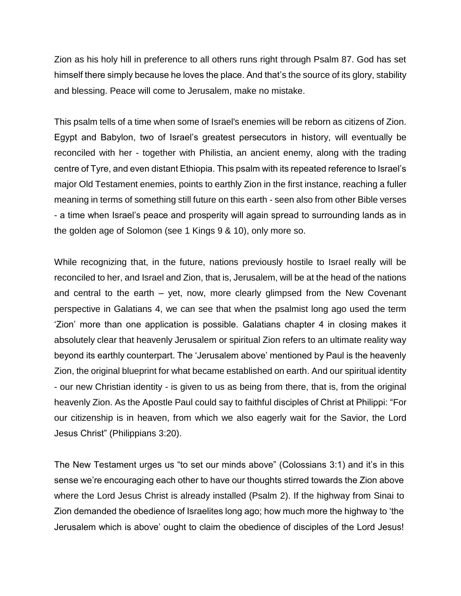Zion as his holy hill in preference to all others runs right through Psalm 87. God has set himself there simply because he loves the place. And that's the source of its glory, stability and blessing. Peace will come to Jerusalem, make no mistake.

This psalm tells of a time when some of Israel's enemies will be reborn as citizens of Zion. Egypt and Babylon, two of Israel's greatest persecutors in history, will eventually be reconciled with her - together with Philistia, an ancient enemy, along with the trading centre of Tyre, and even distant Ethiopia. This psalm with its repeated reference to Israel's major Old Testament enemies, points to earthly Zion in the first instance, reaching a fuller meaning in terms of something still future on this earth - seen also from other Bible verses - a time when Israel's peace and prosperity will again spread to surrounding lands as in the golden age of Solomon (see 1 Kings 9 & 10), only more so.

While recognizing that, in the future, nations previously hostile to Israel really will be reconciled to her, and Israel and Zion, that is, Jerusalem, will be at the head of the nations and central to the earth – yet, now, more clearly glimpsed from the New Covenant perspective in Galatians 4, we can see that when the psalmist long ago used the term 'Zion' more than one application is possible. Galatians chapter 4 in closing makes it absolutely clear that heavenly Jerusalem or spiritual Zion refers to an ultimate reality way beyond its earthly counterpart. The 'Jerusalem above' mentioned by Paul is the heavenly Zion, the original blueprint for what became established on earth. And our spiritual identity - our new Christian identity - is given to us as being from there, that is, from the original heavenly Zion. As the Apostle Paul could say to faithful disciples of Christ at Philippi: "For our citizenship is in heaven, from which we also eagerly wait for the Savior, the Lord Jesus Christ" (Philippians 3:20).

The New Testament urges us "to set our minds above" (Colossians 3:1) and it's in this sense we're encouraging each other to have our thoughts stirred towards the Zion above where the Lord Jesus Christ is already installed (Psalm 2). If the highway from Sinai to Zion demanded the obedience of Israelites long ago; how much more the highway to 'the Jerusalem which is above' ought to claim the obedience of disciples of the Lord Jesus!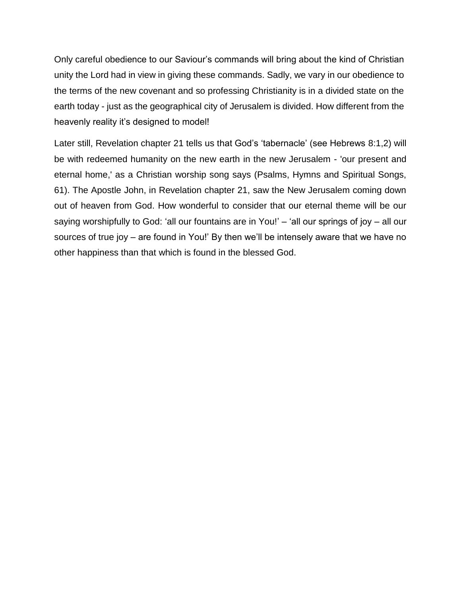Only careful obedience to our Saviour's commands will bring about the kind of Christian unity the Lord had in view in giving these commands. Sadly, we vary in our obedience to the terms of the new covenant and so professing Christianity is in a divided state on the earth today - just as the geographical city of Jerusalem is divided. How different from the heavenly reality it's designed to model!

Later still, Revelation chapter 21 tells us that God's 'tabernacle' (see Hebrews 8:1,2) will be with redeemed humanity on the new earth in the new Jerusalem - 'our present and eternal home,' as a Christian worship song says (Psalms, Hymns and Spiritual Songs, 61). The Apostle John, in Revelation chapter 21, saw the New Jerusalem coming down out of heaven from God. How wonderful to consider that our eternal theme will be our saying worshipfully to God: 'all our fountains are in You!' – 'all our springs of joy – all our sources of true joy – are found in You!' By then we'll be intensely aware that we have no other happiness than that which is found in the blessed God.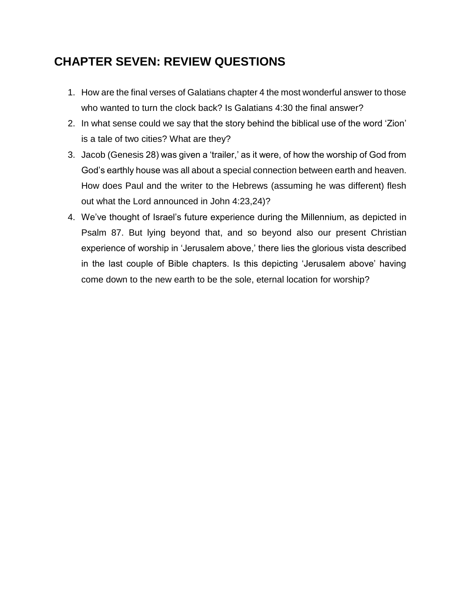## **CHAPTER SEVEN: REVIEW QUESTIONS**

- 1. How are the final verses of Galatians chapter 4 the most wonderful answer to those who wanted to turn the clock back? Is Galatians 4:30 the final answer?
- 2. In what sense could we say that the story behind the biblical use of the word 'Zion' is a tale of two cities? What are they?
- 3. Jacob (Genesis 28) was given a 'trailer,' as it were, of how the worship of God from God's earthly house was all about a special connection between earth and heaven. How does Paul and the writer to the Hebrews (assuming he was different) flesh out what the Lord announced in John 4:23,24)?
- 4. We've thought of Israel's future experience during the Millennium, as depicted in Psalm 87. But lying beyond that, and so beyond also our present Christian experience of worship in 'Jerusalem above,' there lies the glorious vista described in the last couple of Bible chapters. Is this depicting 'Jerusalem above' having come down to the new earth to be the sole, eternal location for worship?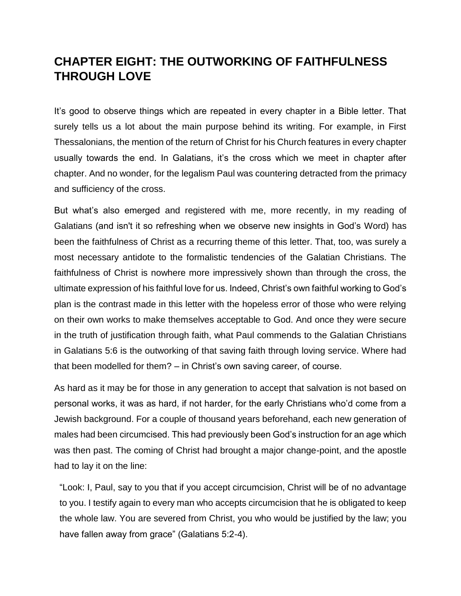#### **CHAPTER EIGHT: THE OUTWORKING OF FAITHFULNESS THROUGH LOVE**

It's good to observe things which are repeated in every chapter in a Bible letter. That surely tells us a lot about the main purpose behind its writing. For example, in First Thessalonians, the mention of the return of Christ for his Church features in every chapter usually towards the end. In Galatians, it's the cross which we meet in chapter after chapter. And no wonder, for the legalism Paul was countering detracted from the primacy and sufficiency of the cross.

But what's also emerged and registered with me, more recently, in my reading of Galatians (and isn't it so refreshing when we observe new insights in God's Word) has been the faithfulness of Christ as a recurring theme of this letter. That, too, was surely a most necessary antidote to the formalistic tendencies of the Galatian Christians. The faithfulness of Christ is nowhere more impressively shown than through the cross, the ultimate expression of his faithful love for us. Indeed, Christ's own faithful working to God's plan is the contrast made in this letter with the hopeless error of those who were relying on their own works to make themselves acceptable to God. And once they were secure in the truth of justification through faith, what Paul commends to the Galatian Christians in Galatians 5:6 is the outworking of that saving faith through loving service. Where had that been modelled for them? – in Christ's own saving career, of course.

As hard as it may be for those in any generation to accept that salvation is not based on personal works, it was as hard, if not harder, for the early Christians who'd come from a Jewish background. For a couple of thousand years beforehand, each new generation of males had been circumcised. This had previously been God's instruction for an age which was then past. The coming of Christ had brought a major change-point, and the apostle had to lay it on the line:

"Look: I, Paul, say to you that if you accept circumcision, Christ will be of no advantage to you. I testify again to every man who accepts circumcision that he is obligated to keep the whole law. You are severed from Christ, you who would be justified by the law; you have fallen away from grace" (Galatians 5:2-4).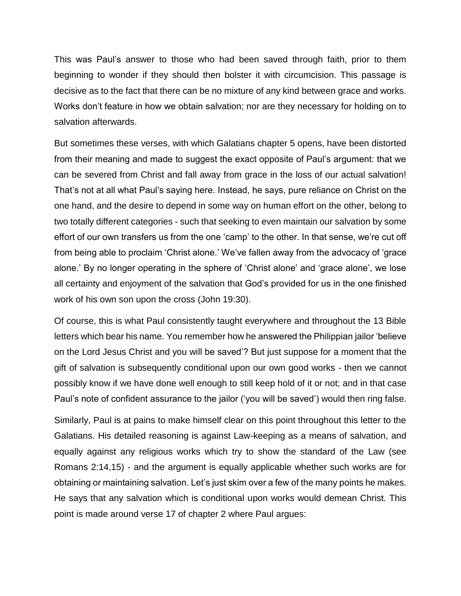This was Paul's answer to those who had been saved through faith, prior to them beginning to wonder if they should then bolster it with circumcision. This passage is decisive as to the fact that there can be no mixture of any kind between grace and works. Works don't feature in how we obtain salvation; nor are they necessary for holding on to salvation afterwards.

But sometimes these verses, with which Galatians chapter 5 opens, have been distorted from their meaning and made to suggest the exact opposite of Paul's argument: that we can be severed from Christ and fall away from grace in the loss of our actual salvation! That's not at all what Paul's saying here. Instead, he says, pure reliance on Christ on the one hand, and the desire to depend in some way on human effort on the other, belong to two totally different categories - such that seeking to even maintain our salvation by some effort of our own transfers us from the one 'camp' to the other. In that sense, we're cut off from being able to proclaim 'Christ alone.' We've fallen away from the advocacy of 'grace alone.' By no longer operating in the sphere of 'Christ alone' and 'grace alone', we lose all certainty and enjoyment of the salvation that God's provided for us in the one finished work of his own son upon the cross (John 19:30).

Of course, this is what Paul consistently taught everywhere and throughout the 13 Bible letters which bear his name. You remember how he answered the Philippian jailor 'believe on the Lord Jesus Christ and you will be saved'? But just suppose for a moment that the gift of salvation is subsequently conditional upon our own good works - then we cannot possibly know if we have done well enough to still keep hold of it or not; and in that case Paul's note of confident assurance to the jailor ('you will be saved') would then ring false.

Similarly, Paul is at pains to make himself clear on this point throughout this letter to the Galatians. His detailed reasoning is against Law-keeping as a means of salvation, and equally against any religious works which try to show the standard of the Law (see Romans 2:14,15) - and the argument is equally applicable whether such works are for obtaining or maintaining salvation. Let's just skim over a few of the many points he makes. He says that any salvation which is conditional upon works would demean Christ. This point is made around verse 17 of chapter 2 where Paul argues: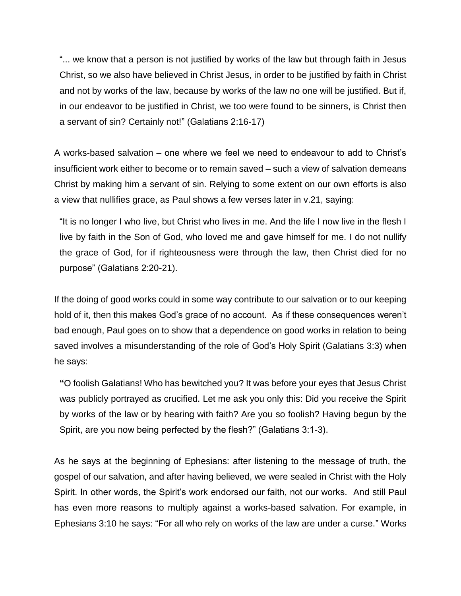"... we know that a person is not justified by works of the law but through faith in Jesus Christ, so we also have believed in Christ Jesus, in order to be justified by faith in Christ and not by works of the law, because by works of the law no one will be justified. But if, in our endeavor to be justified in Christ, we too were found to be sinners, is Christ then a servant of sin? Certainly not!" (Galatians 2:16-17)

A works-based salvation – one where we feel we need to endeavour to add to Christ's insufficient work either to become or to remain saved – such a view of salvation demeans Christ by making him a servant of sin. Relying to some extent on our own efforts is also a view that nullifies grace, as Paul shows a few verses later in v.21, saying:

"It is no longer I who live, but Christ who lives in me. And the life I now live in the flesh I live by faith in the Son of God, who loved me and gave himself for me. I do not nullify the grace of God, for if righteousness were through the law, then Christ died for no purpose" (Galatians 2:20-21).

If the doing of good works could in some way contribute to our salvation or to our keeping hold of it, then this makes God's grace of no account. As if these consequences weren't bad enough, Paul goes on to show that a dependence on good works in relation to being saved involves a misunderstanding of the role of God's Holy Spirit (Galatians 3:3) when he says:

**"**O foolish Galatians! Who has bewitched you? It was before your eyes that Jesus Christ was publicly portrayed as crucified. Let me ask you only this: Did you receive the Spirit by works of the law or by hearing with faith? Are you so foolish? Having begun by the Spirit, are you now being perfected by the flesh?" (Galatians 3:1-3).

As he says at the beginning of Ephesians: after listening to the message of truth, the gospel of our salvation, and after having believed, we were sealed in Christ with the Holy Spirit. In other words, the Spirit's work endorsed our faith, not our works. And still Paul has even more reasons to multiply against a works-based salvation. For example, in Ephesians 3:10 he says: "For all who rely on works of the law are under a curse." Works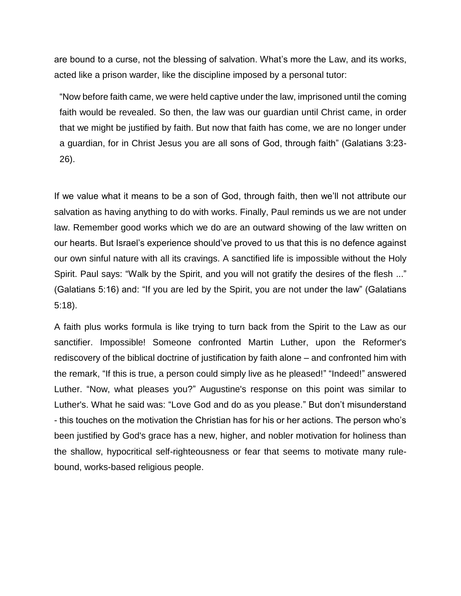are bound to a curse, not the blessing of salvation. What's more the Law, and its works, acted like a prison warder, like the discipline imposed by a personal tutor:

"Now before faith came, we were held captive under the law, imprisoned until the coming faith would be revealed. So then, the law was our guardian until Christ came, in order that we might be justified by faith. But now that faith has come, we are no longer under a guardian, for in Christ Jesus you are all sons of God, through faith" (Galatians 3:23- 26).

If we value what it means to be a son of God, through faith, then we'll not attribute our salvation as having anything to do with works. Finally, Paul reminds us we are not under law. Remember good works which we do are an outward showing of the law written on our hearts. But Israel's experience should've proved to us that this is no defence against our own sinful nature with all its cravings. A sanctified life is impossible without the Holy Spirit. Paul says: "Walk by the Spirit, and you will not gratify the desires of the flesh ..." (Galatians 5:16) and: "If you are led by the Spirit, you are not under the law" (Galatians 5:18).

A faith plus works formula is like trying to turn back from the Spirit to the Law as our sanctifier. Impossible! Someone confronted Martin Luther, upon the Reformer's rediscovery of the biblical doctrine of justification by faith alone – and confronted him with the remark, "If this is true, a person could simply live as he pleased!" "Indeed!" answered Luther. "Now, what pleases you?" Augustine's response on this point was similar to Luther's. What he said was: "Love God and do as you please." But don't misunderstand - this touches on the motivation the Christian has for his or her actions. The person who's been justified by God's grace has a new, higher, and nobler motivation for holiness than the shallow, hypocritical self-righteousness or fear that seems to motivate many rulebound, works-based religious people.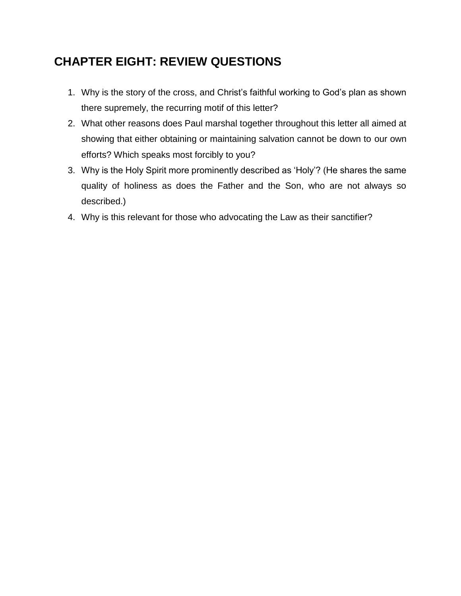## **CHAPTER EIGHT: REVIEW QUESTIONS**

- 1. Why is the story of the cross, and Christ's faithful working to God's plan as shown there supremely, the recurring motif of this letter?
- 2. What other reasons does Paul marshal together throughout this letter all aimed at showing that either obtaining or maintaining salvation cannot be down to our own efforts? Which speaks most forcibly to you?
- 3. Why is the Holy Spirit more prominently described as 'Holy'? (He shares the same quality of holiness as does the Father and the Son, who are not always so described.)
- 4. Why is this relevant for those who advocating the Law as their sanctifier?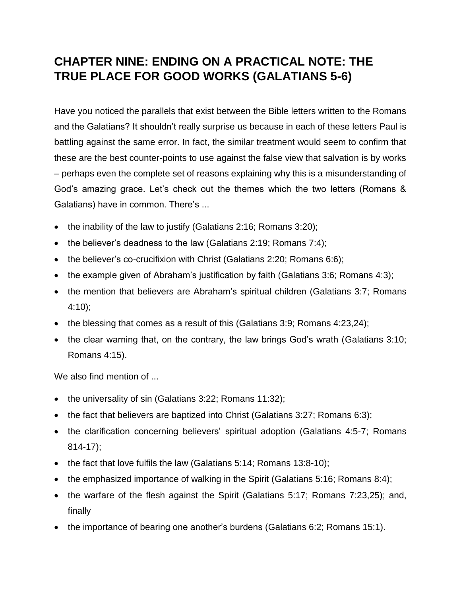## **CHAPTER NINE: ENDING ON A PRACTICAL NOTE: THE TRUE PLACE FOR GOOD WORKS (GALATIANS 5-6)**

Have you noticed the parallels that exist between the Bible letters written to the Romans and the Galatians? It shouldn't really surprise us because in each of these letters Paul is battling against the same error. In fact, the similar treatment would seem to confirm that these are the best counter-points to use against the false view that salvation is by works – perhaps even the complete set of reasons explaining why this is a misunderstanding of God's amazing grace. Let's check out the themes which the two letters (Romans & Galatians) have in common. There's ...

- the inability of the law to justify (Galatians 2:16; Romans 3:20);
- the believer's deadness to the law (Galatians 2:19; Romans 7:4);
- the believer's co-crucifixion with Christ (Galatians 2:20; Romans 6:6);
- the example given of Abraham's justification by faith (Galatians 3:6; Romans 4:3);
- the mention that believers are Abraham's spiritual children (Galatians 3:7; Romans 4:10);
- the blessing that comes as a result of this (Galatians 3:9: Romans 4:23,24):
- the clear warning that, on the contrary, the law brings God's wrath (Galatians 3:10; Romans 4:15).

We also find mention of ...

- the universality of sin (Galatians 3:22; Romans 11:32);
- the fact that believers are baptized into Christ (Galatians 3:27; Romans 6:3);
- the clarification concerning believers' spiritual adoption (Galatians 4:5-7; Romans 814-17);
- the fact that love fulfils the law (Galatians 5:14; Romans 13:8-10);
- the emphasized importance of walking in the Spirit (Galatians 5:16; Romans 8:4);
- the warfare of the flesh against the Spirit (Galatians 5:17; Romans 7:23,25); and, finally
- the importance of bearing one another's burdens (Galatians 6:2; Romans 15:1).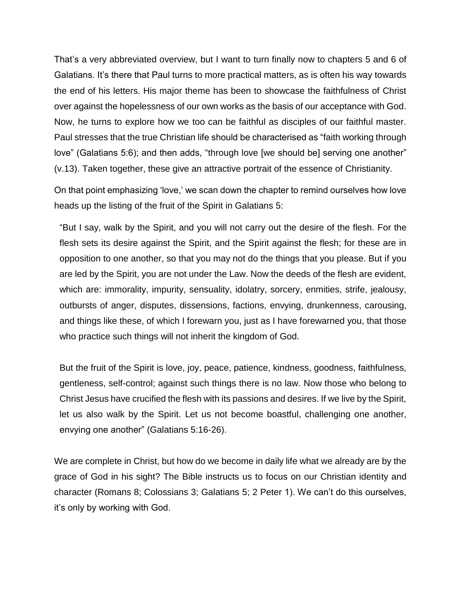That's a very abbreviated overview, but I want to turn finally now to chapters 5 and 6 of Galatians. It's there that Paul turns to more practical matters, as is often his way towards the end of his letters. His major theme has been to showcase the faithfulness of Christ over against the hopelessness of our own works as the basis of our acceptance with God. Now, he turns to explore how we too can be faithful as disciples of our faithful master. Paul stresses that the true Christian life should be characterised as "faith working through love" (Galatians 5:6); and then adds, "through love [we should be] serving one another" (v.13). Taken together, these give an attractive portrait of the essence of Christianity.

On that point emphasizing 'love,' we scan down the chapter to remind ourselves how love heads up the listing of the fruit of the Spirit in Galatians 5:

"But I say, walk by the Spirit, and you will not carry out the desire of the flesh. For the flesh sets its desire against the Spirit, and the Spirit against the flesh; for these are in opposition to one another, so that you may not do the things that you please. But if you are led by the Spirit, you are not under the Law. Now the deeds of the flesh are evident, which are: immorality, impurity, sensuality, idolatry, sorcery, enmities, strife, jealousy, outbursts of anger, disputes, dissensions, factions, envying, drunkenness, carousing, and things like these, of which I forewarn you, just as I have forewarned you, that those who practice such things will not inherit the kingdom of God.

But the fruit of the Spirit is love, joy, peace, patience, kindness, goodness, faithfulness, gentleness, self-control; against such things there is no law. Now those who belong to Christ Jesus have crucified the flesh with its passions and desires. If we live by the Spirit, let us also walk by the Spirit. Let us not become boastful, challenging one another, envying one another" (Galatians 5:16-26).

We are complete in Christ, but how do we become in daily life what we already are by the grace of God in his sight? The Bible instructs us to focus on our Christian identity and character (Romans 8; Colossians 3; Galatians 5; 2 Peter 1). We can't do this ourselves, it's only by working with God.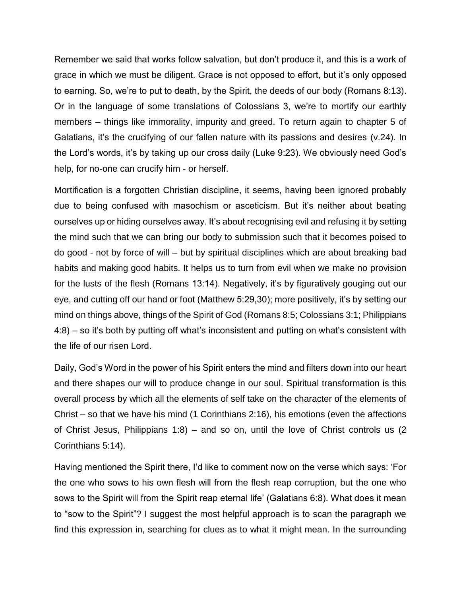Remember we said that works follow salvation, but don't produce it, and this is a work of grace in which we must be diligent. Grace is not opposed to effort, but it's only opposed to earning. So, we're to put to death, by the Spirit, the deeds of our body (Romans 8:13). Or in the language of some translations of Colossians 3, we're to mortify our earthly members – things like immorality, impurity and greed. To return again to chapter 5 of Galatians, it's the crucifying of our fallen nature with its passions and desires (v.24). In the Lord's words, it's by taking up our cross daily (Luke 9:23). We obviously need God's help, for no-one can crucify him - or herself.

Mortification is a forgotten Christian discipline, it seems, having been ignored probably due to being confused with masochism or asceticism. But it's neither about beating ourselves up or hiding ourselves away. It's about recognising evil and refusing it by setting the mind such that we can bring our body to submission such that it becomes poised to do good - not by force of will – but by spiritual disciplines which are about breaking bad habits and making good habits. It helps us to turn from evil when we make no provision for the lusts of the flesh (Romans 13:14). Negatively, it's by figuratively gouging out our eye, and cutting off our hand or foot (Matthew 5:29,30); more positively, it's by setting our mind on things above, things of the Spirit of God (Romans 8:5; Colossians 3:1; Philippians 4:8) – so it's both by putting off what's inconsistent and putting on what's consistent with the life of our risen Lord.

Daily, God's Word in the power of his Spirit enters the mind and filters down into our heart and there shapes our will to produce change in our soul. Spiritual transformation is this overall process by which all the elements of self take on the character of the elements of Christ – so that we have his mind (1 Corinthians 2:16), his emotions (even the affections of Christ Jesus, Philippians 1:8) – and so on, until the love of Christ controls us (2 Corinthians 5:14).

Having mentioned the Spirit there, I'd like to comment now on the verse which says: 'For the one who sows to his own flesh will from the flesh reap corruption, but the one who sows to the Spirit will from the Spirit reap eternal life' (Galatians 6:8). What does it mean to "sow to the Spirit"? I suggest the most helpful approach is to scan the paragraph we find this expression in, searching for clues as to what it might mean. In the surrounding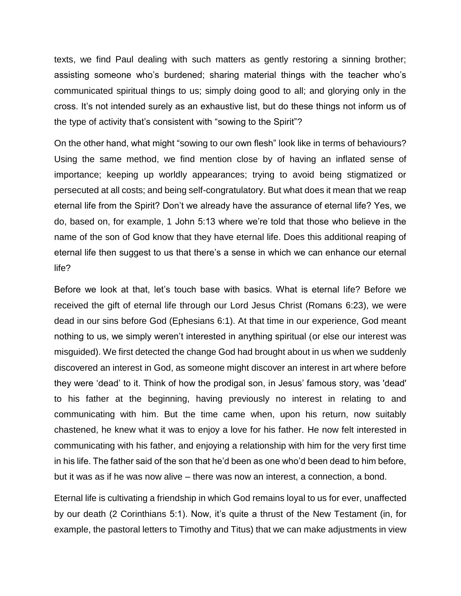texts, we find Paul dealing with such matters as gently restoring a sinning brother; assisting someone who's burdened; sharing material things with the teacher who's communicated spiritual things to us; simply doing good to all; and glorying only in the cross. It's not intended surely as an exhaustive list, but do these things not inform us of the type of activity that's consistent with "sowing to the Spirit"?

On the other hand, what might "sowing to our own flesh" look like in terms of behaviours? Using the same method, we find mention close by of having an inflated sense of importance; keeping up worldly appearances; trying to avoid being stigmatized or persecuted at all costs; and being self-congratulatory. But what does it mean that we reap eternal life from the Spirit? Don't we already have the assurance of eternal life? Yes, we do, based on, for example, 1 John 5:13 where we're told that those who believe in the name of the son of God know that they have eternal life. Does this additional reaping of eternal life then suggest to us that there's a sense in which we can enhance our eternal life?

Before we look at that, let's touch base with basics. What is eternal life? Before we received the gift of eternal life through our Lord Jesus Christ (Romans 6:23), we were dead in our sins before God (Ephesians 6:1). At that time in our experience, God meant nothing to us, we simply weren't interested in anything spiritual (or else our interest was misguided). We first detected the change God had brought about in us when we suddenly discovered an interest in God, as someone might discover an interest in art where before they were 'dead' to it. Think of how the prodigal son, in Jesus' famous story, was 'dead' to his father at the beginning, having previously no interest in relating to and communicating with him. But the time came when, upon his return, now suitably chastened, he knew what it was to enjoy a love for his father. He now felt interested in communicating with his father, and enjoying a relationship with him for the very first time in his life. The father said of the son that he'd been as one who'd been dead to him before, but it was as if he was now alive – there was now an interest, a connection, a bond.

Eternal life is cultivating a friendship in which God remains loyal to us for ever, unaffected by our death (2 Corinthians 5:1). Now, it's quite a thrust of the New Testament (in, for example, the pastoral letters to Timothy and Titus) that we can make adjustments in view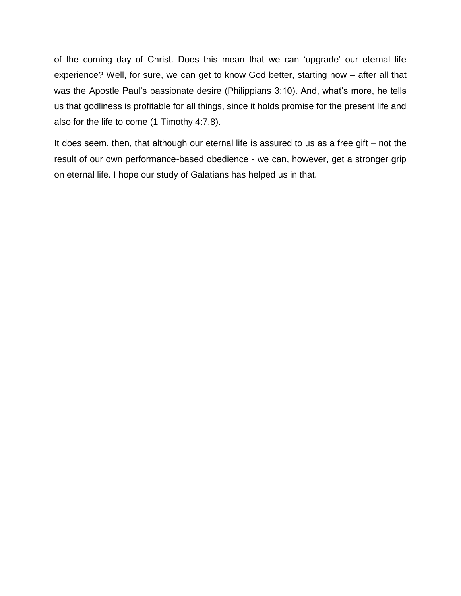of the coming day of Christ. Does this mean that we can 'upgrade' our eternal life experience? Well, for sure, we can get to know God better, starting now – after all that was the Apostle Paul's passionate desire (Philippians 3:10). And, what's more, he tells us that godliness is profitable for all things, since it holds promise for the present life and also for the life to come (1 Timothy 4:7,8).

It does seem, then, that although our eternal life is assured to us as a free gift – not the result of our own performance-based obedience - we can, however, get a stronger grip on eternal life. I hope our study of Galatians has helped us in that.